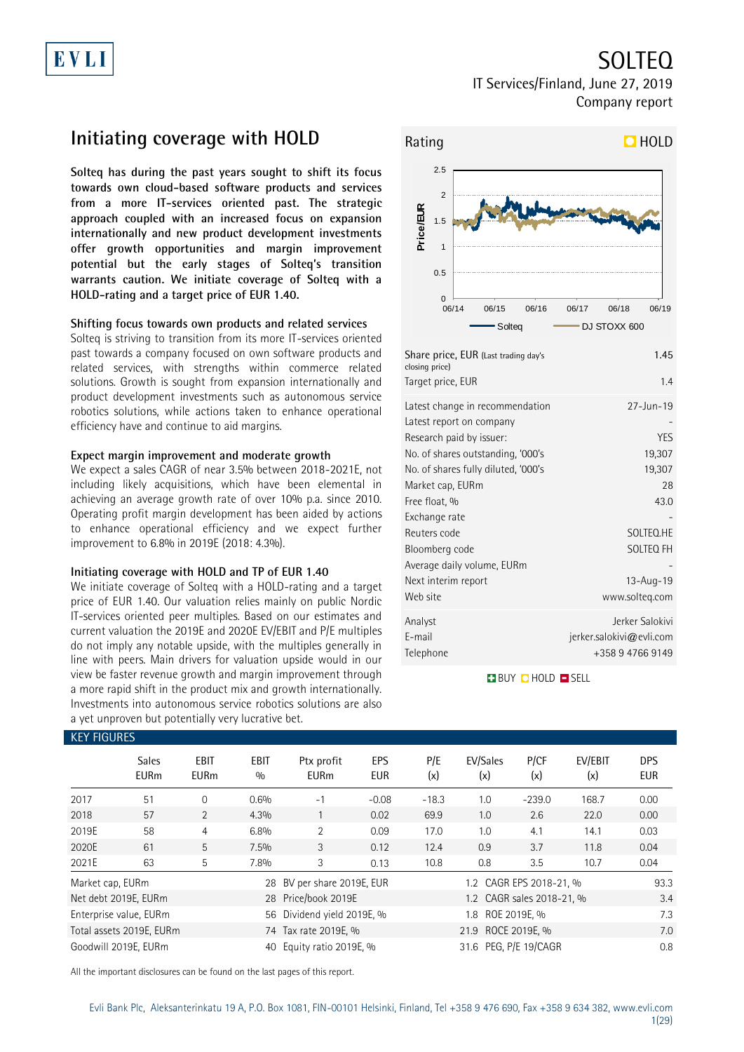## SOLTEQ

IT Services/Finland, June 27, 2019 Company report

# **Initiating coverage with HOLD**

**Solteq has during the past years sought to shift its focus towards own cloud-based software products and services from a more IT-services oriented past. The strategic approach coupled with an increased focus on expansion internationally and new product development investments offer growth opportunities and margin improvement potential but the early stages of Solteq's transition warrants caution. We initiate coverage of Solteq with a HOLD-rating and a target price of EUR 1.40.**

### **Shifting focus towards own products and related services**

Solteq is striving to transition from its more IT-services oriented past towards a company focused on own software products and related services, with strengths within commerce related solutions. Growth is sought from expansion internationally and product development investments such as autonomous service robotics solutions, while actions taken to enhance operational efficiency have and continue to aid margins.

#### **Expect margin improvement and moderate growth**

We expect a sales CAGR of near 3.5% between 2018-2021E, not including likely acquisitions, which have been elemental in achieving an average growth rate of over 10% p.a. since 2010. Operating profit margin development has been aided by actions to enhance operational efficiency and we expect further improvement to 6.8% in 2019E (2018: 4.3%).

### **Initiating coverage with HOLD and TP of EUR 1.40**

We initiate coverage of Solteq with a HOLD-rating and a target price of EUR 1.40. Our valuation relies mainly on public Nordic IT-services oriented peer multiples. Based on our estimates and current valuation the 2019E and 2020E EV/EBIT and P/E multiples do not imply any notable upside, with the multiples generally in line with peers. Main drivers for valuation upside would in our view be faster revenue growth and margin improvement through a more rapid shift in the product mix and growth internationally. Investments into autonomous service robotics solutions are also a yet unproven but potentially very lucrative bet.



| Target price, EUR                   | 1.4                      |
|-------------------------------------|--------------------------|
| Latest change in recommendation     | $27 - Jun - 19$          |
| Latest report on company            |                          |
| Research paid by issuer:            | YES                      |
| No. of shares outstanding, '000's   | 19,307                   |
| No. of shares fully diluted, '000's | 19,307                   |
| Market cap, EURm                    | 28                       |
| Free float, %                       | 43.0                     |
| Exchange rate                       |                          |
| Reuters code                        | SOLTEQ.HE                |
| Bloomberg code                      | SOLTEQ FH                |
| Average daily volume, EURm          |                          |
| Next interim report                 | 13-Aug-19                |
| Web site                            | www.solteg.com           |
| Analyst                             | Jerker Salokivi          |
| E-mail                              | jerker.salokivi@evli.com |
| Telephone                           | +358 9 4766 9149         |

**BUY QHOLD OSELL** 

| NET FIUUNES                 |                            |                          |                           |            |                                                                                                                                  |                       |             |                                    |                                                      |
|-----------------------------|----------------------------|--------------------------|---------------------------|------------|----------------------------------------------------------------------------------------------------------------------------------|-----------------------|-------------|------------------------------------|------------------------------------------------------|
| <b>Sales</b><br><b>EURm</b> | <b>EBIT</b><br><b>EURm</b> | <b>EBIT</b><br>0/0       | Ptx profit<br><b>EURm</b> | EPS<br>EUR | P/E<br>(x)                                                                                                                       | EV/Sales<br>(x)       | P/CF<br>(x) | EV/EBIT<br>(x)                     | <b>DPS</b><br><b>EUR</b>                             |
| 51                          | $\overline{0}$             | 0.6%                     | $-1$                      | $-0.08$    | $-18.3$                                                                                                                          | 1.0                   | $-239.0$    | 168.7                              | 0.00                                                 |
| 57                          | 2                          | 4.3%                     |                           | 0.02       | 69.9                                                                                                                             | 1.0                   | 2.6         | 22.0                               | 0.00                                                 |
| 58                          | $\overline{4}$             | 6.8%                     | $\overline{2}$            | 0.09       | 17.0                                                                                                                             | 1.0                   | 4.1         | 14.1                               | 0.03                                                 |
| 61                          | $5^{\circ}$                | 7.5%                     | 3                         | 0.12       | 12.4                                                                                                                             | 0.9                   | 3.7         | 11.8                               | 0.04                                                 |
| 63                          | 5                          | 7.8%                     | 3                         | 0.13       | 10.8                                                                                                                             | 0.8                   | 3.5         | 10.7                               | 0.04                                                 |
| Market cap, EURm            |                            |                          |                           |            |                                                                                                                                  | 93.3                  |             |                                    |                                                      |
| Net debt 2019E, EURm        |                            |                          |                           |            |                                                                                                                                  |                       |             |                                    | 3.4                                                  |
| Enterprise value, EURm      |                            |                          |                           |            |                                                                                                                                  | 1.8                   |             |                                    | 7.3                                                  |
|                             |                            |                          |                           |            |                                                                                                                                  |                       |             |                                    | 7.0                                                  |
| Goodwill 2019E, EURm        |                            | 40                       |                           |            |                                                                                                                                  | 31.6 PEG, P/E 19/CAGR |             |                                    |                                                      |
|                             |                            | Total assets 2019E, EURm |                           |            | 28 BV per share 2019E, EUR<br>28 Price/book 2019E<br>56 Dividend yield 2019E, %<br>74 Tax rate 2019E, %<br>Equity ratio 2019E, % |                       |             | ROE 2019E, %<br>21.9 ROCE 2019E, % | 1.2 CAGR EPS 2018-21, %<br>1.2 CAGR sales 2018-21, % |

All the important disclosures can be found on the last pages of this report.

## $K$ EY FIQUIDE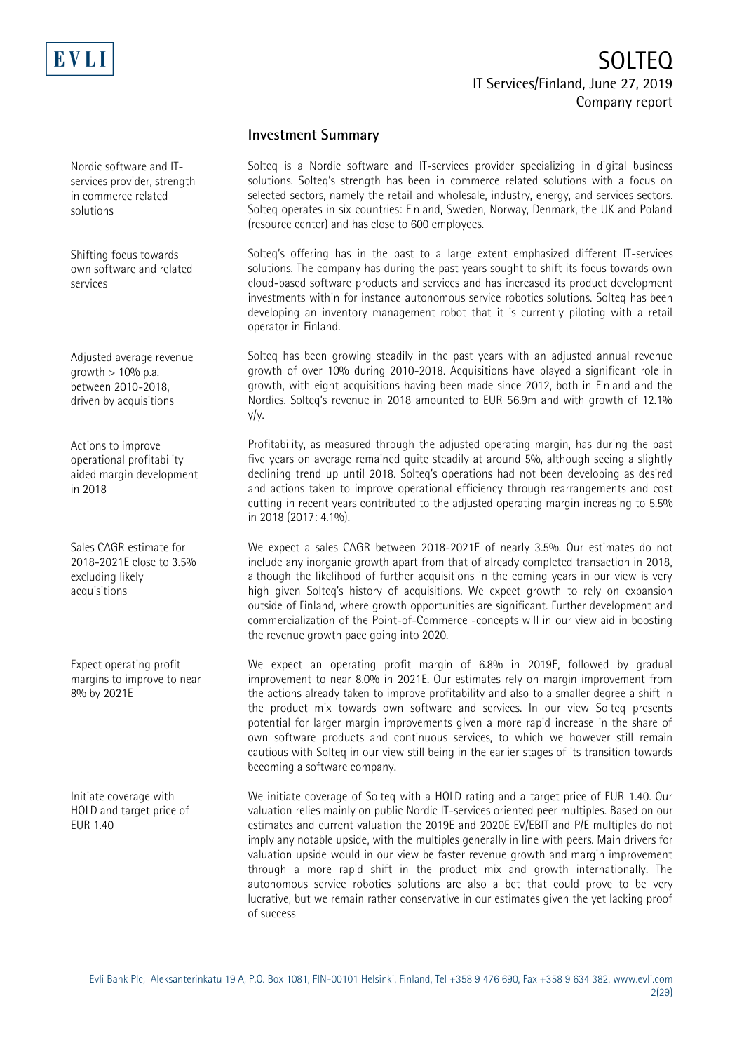

## **Investment Summary**

Solteq is a Nordic software and IT-services provider specializing in digital business solutions. Solteq's strength has been in commerce related solutions with a focus on selected sectors, namely the retail and wholesale, industry, energy, and services sectors. Solteq operates in six countries: Finland, Sweden, Norway, Denmark, the UK and Poland (resource center) and has close to 600 employees.

Solteq's offering has in the past to a large extent emphasized different IT-services solutions. The company has during the past years sought to shift its focus towards own cloud-based software products and services and has increased its product development investments within for instance autonomous service robotics solutions. Solteq has been developing an inventory management robot that it is currently piloting with a retail operator in Finland.

Solteq has been growing steadily in the past years with an adjusted annual revenue growth of over 10% during 2010-2018. Acquisitions have played a significant role in growth, with eight acquisitions having been made since 2012, both in Finland and the Nordics. Solteq's revenue in 2018 amounted to EUR 56.9m and with growth of 12.1% y/y.

Profitability, as measured through the adjusted operating margin, has during the past five years on average remained quite steadily at around 5%, although seeing a slightly declining trend up until 2018. Solteq's operations had not been developing as desired and actions taken to improve operational efficiency through rearrangements and cost cutting in recent years contributed to the adjusted operating margin increasing to 5.5% in 2018 (2017: 4.1%).

We expect a sales CAGR between 2018-2021E of nearly 3.5%. Our estimates do not include any inorganic growth apart from that of already completed transaction in 2018, although the likelihood of further acquisitions in the coming years in our view is very high given Solteq's history of acquisitions. We expect growth to rely on expansion outside of Finland, where growth opportunities are significant. Further development and commercialization of the Point-of-Commerce -concepts will in our view aid in boosting the revenue growth pace going into 2020.

We expect an operating profit margin of 6.8% in 2019E, followed by gradual improvement to near 8.0% in 2021E. Our estimates rely on margin improvement from the actions already taken to improve profitability and also to a smaller degree a shift in the product mix towards own software and services. In our view Solteq presents potential for larger margin improvements given a more rapid increase in the share of own software products and continuous services, to which we however still remain cautious with Solteq in our view still being in the earlier stages of its transition towards becoming a software company.

We initiate coverage of Solteq with a HOLD rating and a target price of EUR 1.40. Our valuation relies mainly on public Nordic IT-services oriented peer multiples. Based on our estimates and current valuation the 2019E and 2020E EV/EBIT and P/E multiples do not imply any notable upside, with the multiples generally in line with peers. Main drivers for valuation upside would in our view be faster revenue growth and margin improvement through a more rapid shift in the product mix and growth internationally. The autonomous service robotics solutions are also a bet that could prove to be very lucrative, but we remain rather conservative in our estimates given the yet lacking proof of success

Nordic software and ITservices provider, strength in commerce related solutions

Shifting focus towards own software and related services

Adjusted average revenue growth  $> 10\%$  p.a. between 2010-2018, driven by acquisitions

Actions to improve operational profitability aided margin development in 2018

Sales CAGR estimate for 2018-2021E close to 3.5% excluding likely acquisitions

Expect operating profit margins to improve to near 8% by 2021E

Initiate coverage with HOLD and target price of EUR 1.40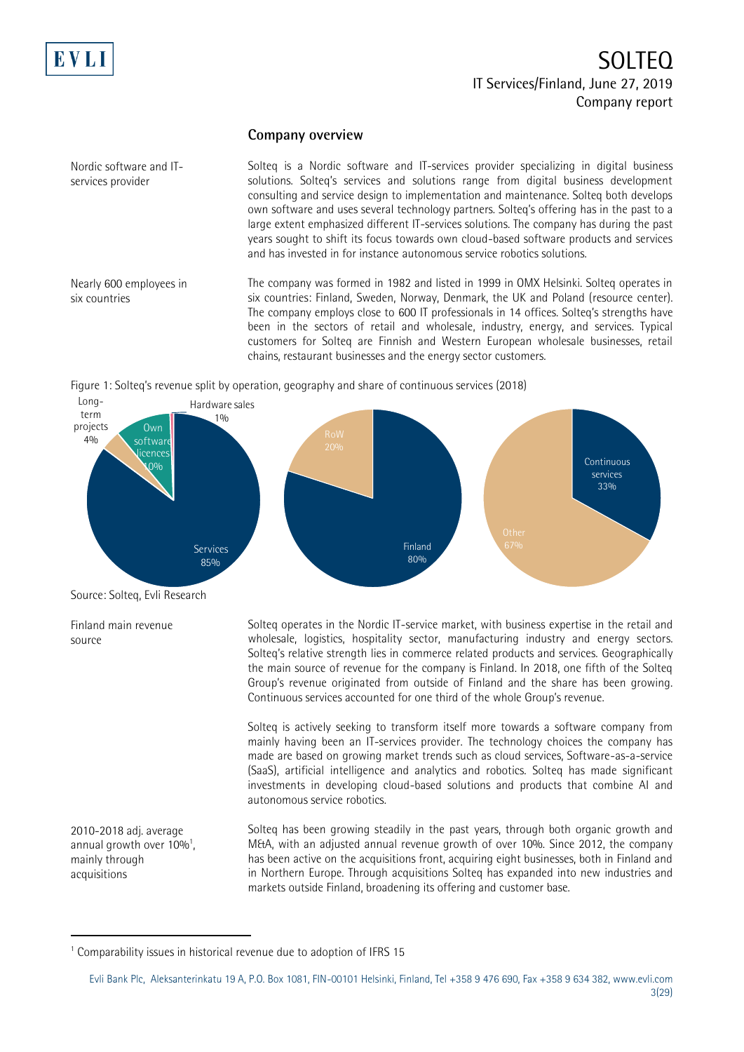

## **Company overview**

Solteq is a Nordic software and IT-services provider specializing in digital business solutions. Solteq's services and solutions range from digital business development consulting and service design to implementation and maintenance. Solteq both develops own software and uses several technology partners. Solteq's offering has in the past to a large extent emphasized different IT-services solutions. The company has during the past years sought to shift its focus towards own cloud-based software products and services and has invested in for instance autonomous service robotics solutions.

Nearly 600 employees in six countries

Nordic software and ITservices provider

> The company was formed in 1982 and listed in 1999 in OMX Helsinki. Solteq operates in six countries: Finland, Sweden, Norway, Denmark, the UK and Poland (resource center). The company employs close to 600 IT professionals in 14 offices. Solteq's strengths have been in the sectors of retail and wholesale, industry, energy, and services. Typical customers for Solteq are Finnish and Western European wholesale businesses, retail chains, restaurant businesses and the energy sector customers.

Figure 1: Solteq's revenue split by operation, geography and share of continuous services (2018)



Source: Solteq, Evli Research

Finland main revenue source

2010-2018 adj. average annual growth over 10%<sup>1</sup>, mainly through acquisitions

-

Solteq operates in the Nordic IT-service market, with business expertise in the retail and wholesale, logistics, hospitality sector, manufacturing industry and energy sectors. Solteq's relative strength lies in commerce related products and services. Geographically the main source of revenue for the company is Finland. In 2018, one fifth of the Solteq Group's revenue originated from outside of Finland and the share has been growing. Continuous services accounted for one third of the whole Group's revenue.

Solteq is actively seeking to transform itself more towards a software company from mainly having been an IT-services provider. The technology choices the company has made are based on growing market trends such as cloud services, Software-as-a-service (SaaS), artificial intelligence and analytics and robotics. Solteq has made significant investments in developing cloud-based solutions and products that combine AI and autonomous service robotics.

Solteq has been growing steadily in the past years, through both organic growth and M&A, with an adjusted annual revenue growth of over 10%. Since 2012, the company has been active on the acquisitions front, acquiring eight businesses, both in Finland and in Northern Europe. Through acquisitions Solteq has expanded into new industries and markets outside Finland, broadening its offering and customer base.

<sup>&</sup>lt;sup>1</sup> Comparability issues in historical revenue due to adoption of IFRS 15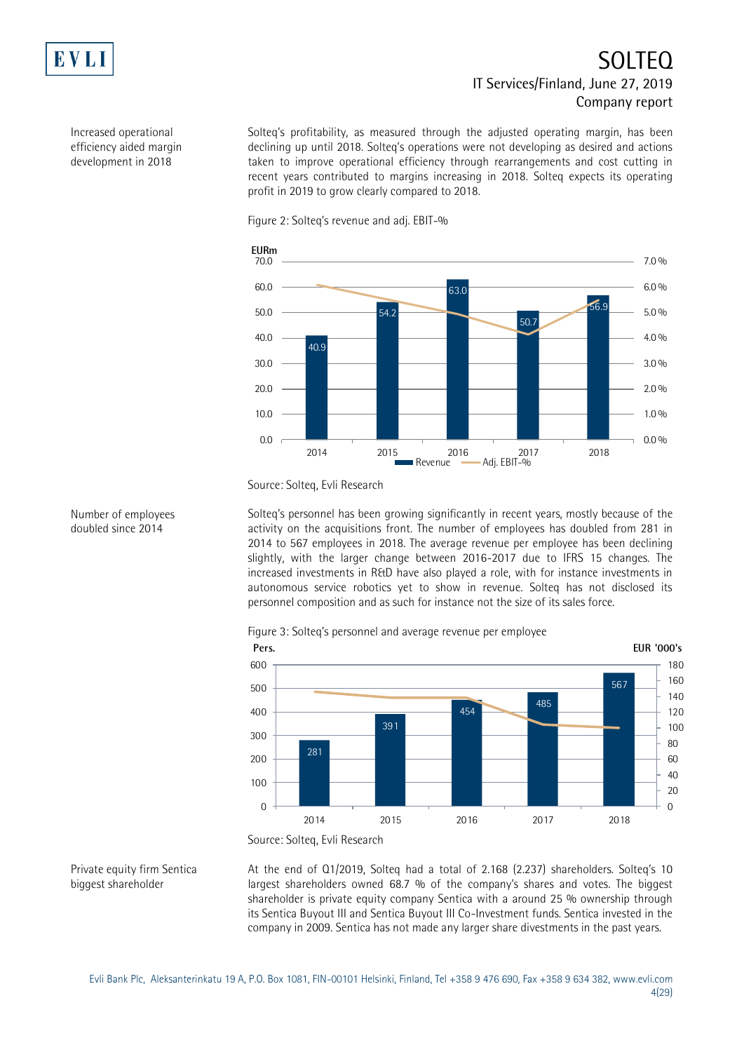

Increased operational efficiency aided margin development in 2018

# SOLTEQ IT Services/Finland, June 27, 2019 Company report

Solteq's profitability, as measured through the adjusted operating margin, has been declining up until 2018. Solteq's operations were not developing as desired and actions taken to improve operational efficiency through rearrangements and cost cutting in recent years contributed to margins increasing in 2018. Solteq expects its operating profit in 2019 to grow clearly compared to 2018.





Source: Solteq, Evli Research

Solteq's personnel has been growing significantly in recent years, mostly because of the activity on the acquisitions front. The number of employees has doubled from 281 in 2014 to 567 employees in 2018. The average revenue per employee has been declining slightly, with the larger change between 2016-2017 due to IFRS 15 changes. The increased investments in R&D have also played a role, with for instance investments in autonomous service robotics yet to show in revenue. Solteq has not disclosed its personnel composition and as such for instance not the size of its sales force.







At the end of Q1/2019, Solteq had a total of 2.168 (2.237) shareholders. Solteq's 10 largest shareholders owned 68.7 % of the company's shares and votes. The biggest shareholder is private equity company Sentica with a around 25 % ownership through its Sentica Buyout III and Sentica Buyout III Co-Investment funds. Sentica invested in the company in 2009. Sentica has not made any larger share divestments in the past years.

Number of employees doubled since 2014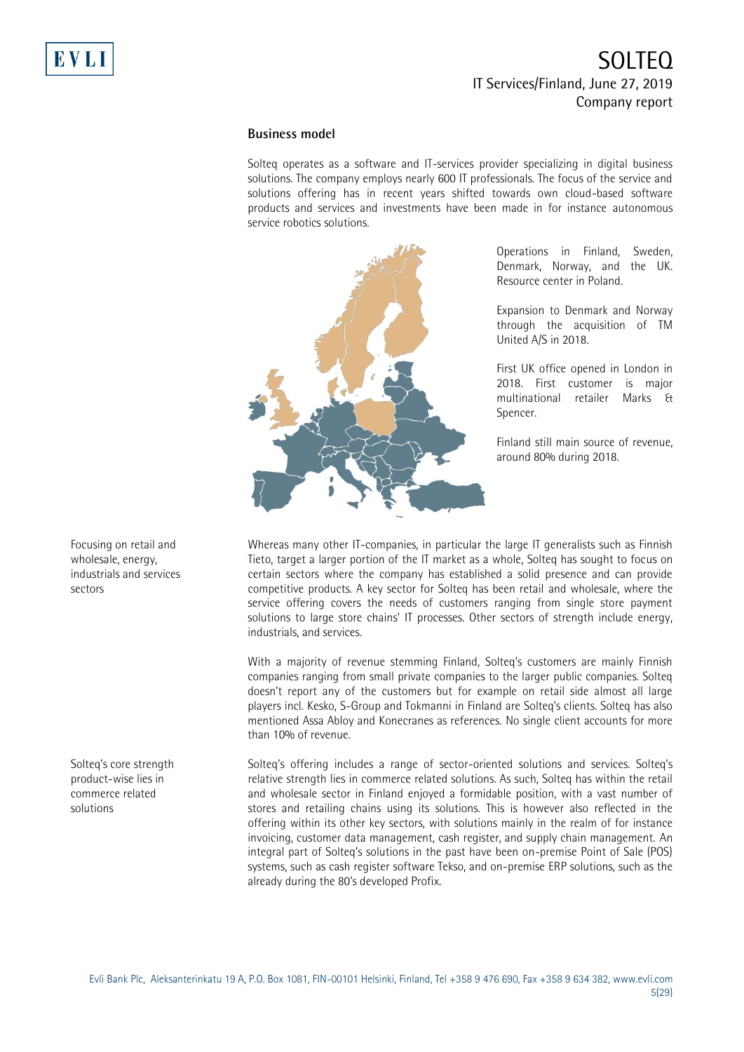### **Business model**

Solteq operates as a software and IT-services provider specializing in digital business solutions. The company employs nearly 600 IT professionals. The focus of the service and solutions offering has in recent years shifted towards own cloud-based software products and services and investments have been made in for instance autonomous service robotics solutions.



Operations in Finland, Sweden, Denmark, Norway, and the UK. Resource center in Poland.

Expansion to Denmark and Norway through the acquisition of TM United A/S in 2018.

First UK office opened in London in 2018. First customer is major multinational retailer Marks & Spencer.

Finland still main source of revenue, around 80% during 2018.

Whereas many other IT-companies, in particular the large IT generalists such as Finnish Tieto, target a larger portion of the IT market as a whole, Solteq has sought to focus on certain sectors where the company has established a solid presence and can provide competitive products. A key sector for Solteq has been retail and wholesale, where the service offering covers the needs of customers ranging from single store payment solutions to large store chains' IT processes. Other sectors of strength include energy, industrials, and services.

With a majority of revenue stemming Finland, Solteq's customers are mainly Finnish companies ranging from small private companies to the larger public companies. Solteq doesn't report any of the customers but for example on retail side almost all large players incl. Kesko, S-Group and Tokmanni in Finland are Solteq's clients. Solteq has also mentioned Assa Abloy and Konecranes as references. No single client accounts for more than 10% of revenue.

Solteq's offering includes a range of sector-oriented solutions and services. Solteq's relative strength lies in commerce related solutions. As such, Solteq has within the retail and wholesale sector in Finland enjoyed a formidable position, with a vast number of stores and retailing chains using its solutions. This is however also reflected in the offering within its other key sectors, with solutions mainly in the realm of for instance invoicing, customer data management, cash register, and supply chain management. An integral part of Solteq's solutions in the past have been on-premise Point of Sale (POS) systems, such as cash register software Tekso, and on-premise ERP solutions, such as the already during the 80's developed Profix.

Focusing on retail and wholesale, energy, industrials and services sectors

Solteq's core strength product-wise lies in commerce related solutions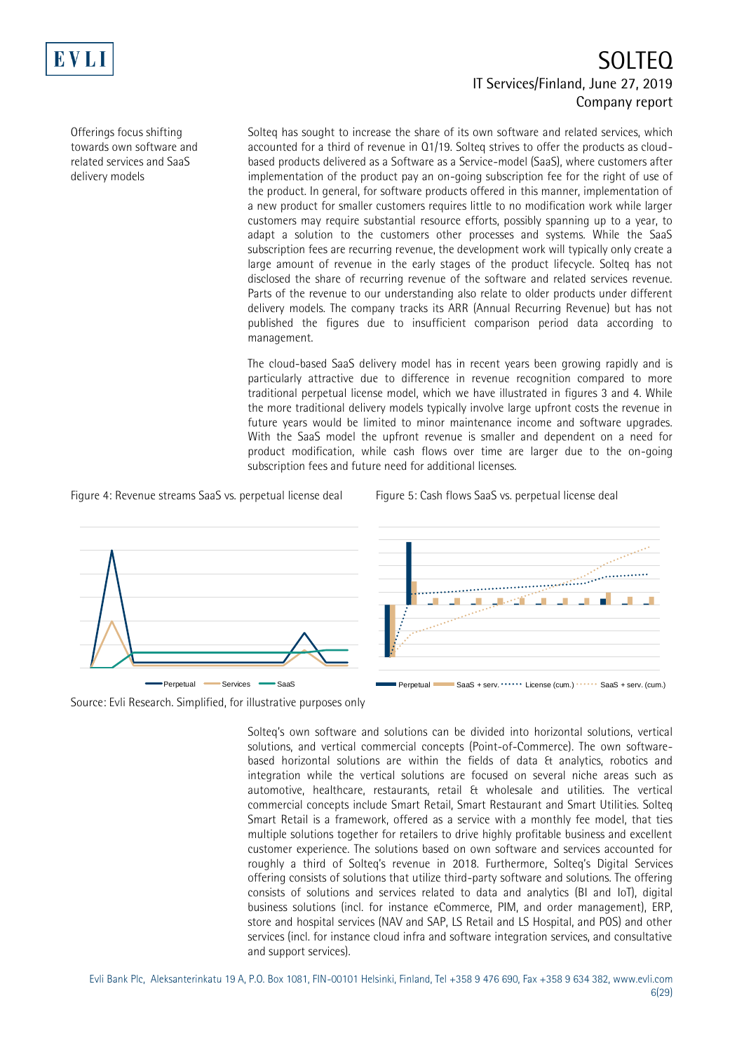

Offerings focus shifting towards own software and related services and SaaS delivery models

Solteq has sought to increase the share of its own software and related services, which accounted for a third of revenue in Q1/19. Solteq strives to offer the products as cloudbased products delivered as a Software as a Service-model (SaaS), where customers after implementation of the product pay an on-going subscription fee for the right of use of the product. In general, for software products offered in this manner, implementation of a new product for smaller customers requires little to no modification work while larger customers may require substantial resource efforts, possibly spanning up to a year, to adapt a solution to the customers other processes and systems. While the SaaS subscription fees are recurring revenue, the development work will typically only create a large amount of revenue in the early stages of the product lifecycle. Solteq has not disclosed the share of recurring revenue of the software and related services revenue. Parts of the revenue to our understanding also relate to older products under different delivery models. The company tracks its ARR (Annual Recurring Revenue) but has not published the figures due to insufficient comparison period data according to management.

The cloud-based SaaS delivery model has in recent years been growing rapidly and is particularly attractive due to difference in revenue recognition compared to more traditional perpetual license model, which we have illustrated in figures 3 and 4. While the more traditional delivery models typically involve large upfront costs the revenue in future years would be limited to minor maintenance income and software upgrades. With the SaaS model the upfront revenue is smaller and dependent on a need for product modification, while cash flows over time are larger due to the on-going subscription fees and future need for additional licenses.

Figure 4: Revenue streams SaaS vs. perpetual license deal Figure 5: Cash flows SaaS vs. perpetual license deal



Source: Evli Research. Simplified, for illustrative purposes only

Solteq's own software and solutions can be divided into horizontal solutions, vertical solutions, and vertical commercial concepts (Point-of-Commerce). The own softwarebased horizontal solutions are within the fields of data & analytics, robotics and integration while the vertical solutions are focused on several niche areas such as automotive, healthcare, restaurants, retail & wholesale and utilities. The vertical commercial concepts include Smart Retail, Smart Restaurant and Smart Utilities. Solteq Smart Retail is a framework, offered as a service with a monthly fee model, that ties multiple solutions together for retailers to drive highly profitable business and excellent customer experience. The solutions based on own software and services accounted for roughly a third of Solteq's revenue in 2018. Furthermore, Solteq's Digital Services offering consists of solutions that utilize third-party software and solutions. The offering consists of solutions and services related to data and analytics (BI and IoT), digital business solutions (incl. for instance eCommerce, PIM, and order management), ERP, store and hospital services (NAV and SAP, LS Retail and LS Hospital, and POS) and other services (incl. for instance cloud infra and software integration services, and consultative and support services).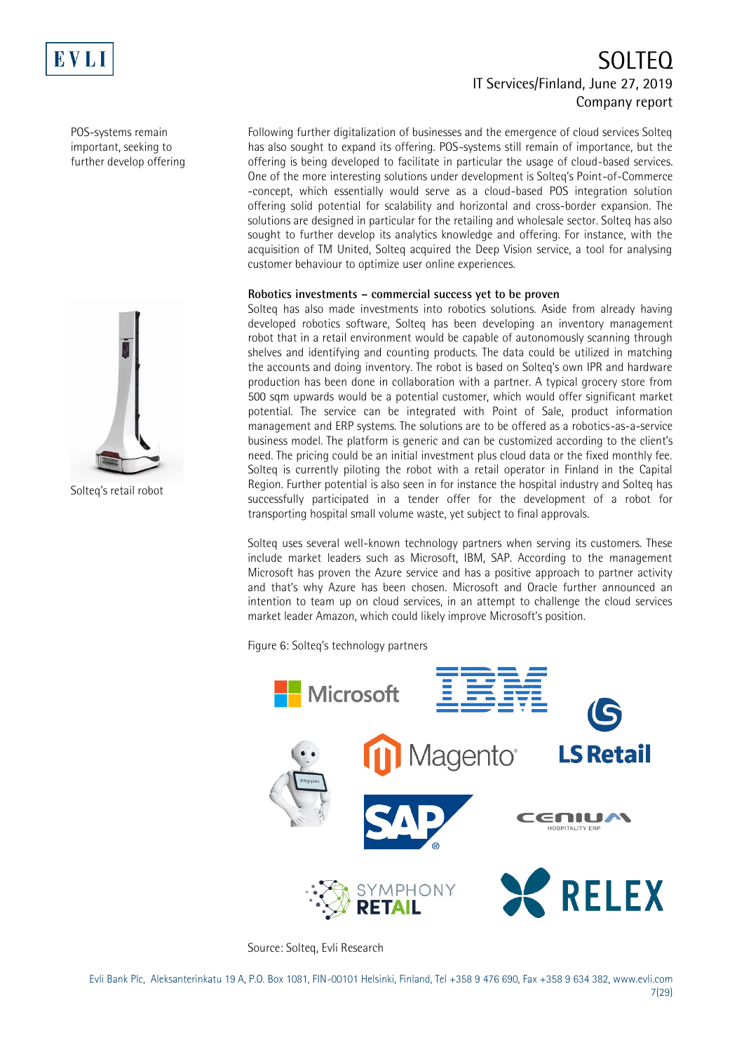

POS-systems remain important, seeking to further develop offering

Solteq's retail robot

# SOLTEQ IT Services/Finland, June 27, 2019 Company report

Following further digitalization of businesses and the emergence of cloud services Solteq has also sought to expand its offering. POS-systems still remain of importance, but the offering is being developed to facilitate in particular the usage of cloud-based services. One of the more interesting solutions under development is Solteq's Point-of-Commerce -concept, which essentially would serve as a cloud-based POS integration solution offering solid potential for scalability and horizontal and cross-border expansion. The solutions are designed in particular for the retailing and wholesale sector. Solteq has also sought to further develop its analytics knowledge and offering. For instance, with the acquisition of TM United, Solteq acquired the Deep Vision service, a tool for analysing customer behaviour to optimize user online experiences.

### **Robotics investments – commercial success yet to be proven**

Solteq has also made investments into robotics solutions. Aside from already having developed robotics software, Solteq has been developing an inventory management robot that in a retail environment would be capable of autonomously scanning through shelves and identifying and counting products. The data could be utilized in matching the accounts and doing inventory. The robot is based on Solteq's own IPR and hardware production has been done in collaboration with a partner. A typical grocery store from 500 sqm upwards would be a potential customer, which would offer significant market potential. The service can be integrated with Point of Sale, product information management and ERP systems. The solutions are to be offered as a robotics-as-a-service business model. The platform is generic and can be customized according to the client's need. The pricing could be an initial investment plus cloud data or the fixed monthly fee. Solteq is currently piloting the robot with a retail operator in Finland in the Capital Region. Further potential is also seen in for instance the hospital industry and Solteq has successfully participated in a tender offer for the development of a robot for transporting hospital small volume waste, yet subject to final approvals.

Solteq uses several well-known technology partners when serving its customers. These include market leaders such as Microsoft, IBM, SAP. According to the management Microsoft has proven the Azure service and has a positive approach to partner activity and that's why Azure has been chosen. Microsoft and Oracle further announced an intention to team up on cloud services, in an attempt to challenge the cloud services market leader Amazon, which could likely improve Microsoft's position.

Figure 6: Solteq's technology partners



Source: Solteq, Evli Research

Evli Bank Plc, Aleksanterinkatu 19 A, P.O. Box 1081, FIN-00101 Helsinki, Finland, Tel +358 9 476 690, Fax +358 9 634 382, [www.evli.com](http://www.evli.com/) 7(29)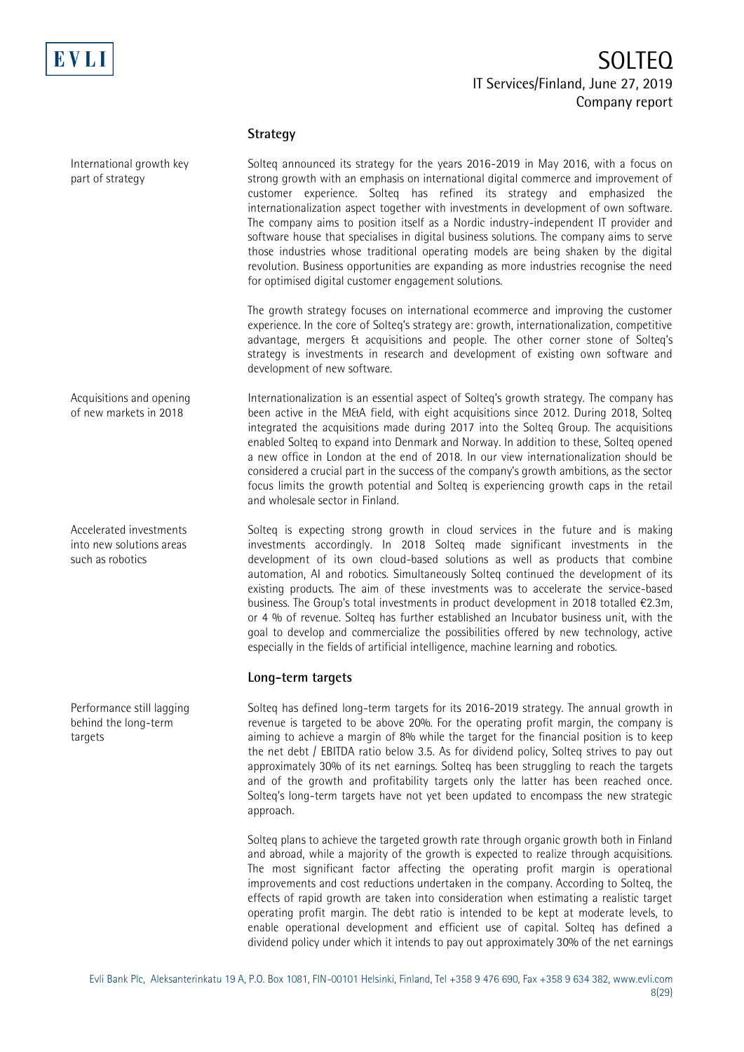

### **Strategy**

Solteq announced its strategy for the years 2016-2019 in May 2016, with a focus on strong growth with an emphasis on international digital commerce and improvement of customer experience. Solteq has refined its strategy and emphasized the internationalization aspect together with investments in development of own software. The company aims to position itself as a Nordic industry-independent IT provider and software house that specialises in digital business solutions. The company aims to serve those industries whose traditional operating models are being shaken by the digital revolution. Business opportunities are expanding as more industries recognise the need for optimised digital customer engagement solutions.

The growth strategy focuses on international ecommerce and improving the customer experience. In the core of Solteq's strategy are: growth, internationalization, competitive advantage, mergers & acquisitions and people. The other corner stone of Solteq's strategy is investments in research and development of existing own software and development of new software.

Internationalization is an essential aspect of Solteq's growth strategy. The company has been active in the M&A field, with eight acquisitions since 2012. During 2018, Solteq integrated the acquisitions made during 2017 into the Solteq Group. The acquisitions enabled Solteq to expand into Denmark and Norway. In addition to these, Solteq opened a new office in London at the end of 2018. In our view internationalization should be considered a crucial part in the success of the company's growth ambitions, as the sector focus limits the growth potential and Solteq is experiencing growth caps in the retail and wholesale sector in Finland.

> Solteq is expecting strong growth in cloud services in the future and is making investments accordingly. In 2018 Solteq made significant investments in the development of its own cloud-based solutions as well as products that combine automation, AI and robotics. Simultaneously Solteq continued the development of its existing products. The aim of these investments was to accelerate the service-based business. The Group's total investments in product development in 2018 totalled €2.3m, or 4 % of revenue. Solteq has further established an Incubator business unit, with the goal to develop and commercialize the possibilities offered by new technology, active especially in the fields of artificial intelligence, machine learning and robotics.

## **Long-term targets**

Solteq has defined long-term targets for its 2016-2019 strategy. The annual growth in revenue is targeted to be above 20%. For the operating profit margin, the company is aiming to achieve a margin of 8% while the target for the financial position is to keep the net debt / EBITDA ratio below 3.5. As for dividend policy, Solteq strives to pay out approximately 30% of its net earnings. Solteq has been struggling to reach the targets and of the growth and profitability targets only the latter has been reached once. Solteq's long-term targets have not yet been updated to encompass the new strategic approach.

Solteq plans to achieve the targeted growth rate through organic growth both in Finland and abroad, while a majority of the growth is expected to realize through acquisitions. The most significant factor affecting the operating profit margin is operational improvements and cost reductions undertaken in the company. According to Solteq, the effects of rapid growth are taken into consideration when estimating a realistic target operating profit margin. The debt ratio is intended to be kept at moderate levels, to enable operational development and efficient use of capital. Solteq has defined a dividend policy under which it intends to pay out approximately 30% of the net earnings

Acquisitions and opening of new markets in 2018

International growth key

part of strategy

Accelerated investments into new solutions areas such as robotics

Performance still lagging behind the long-term targets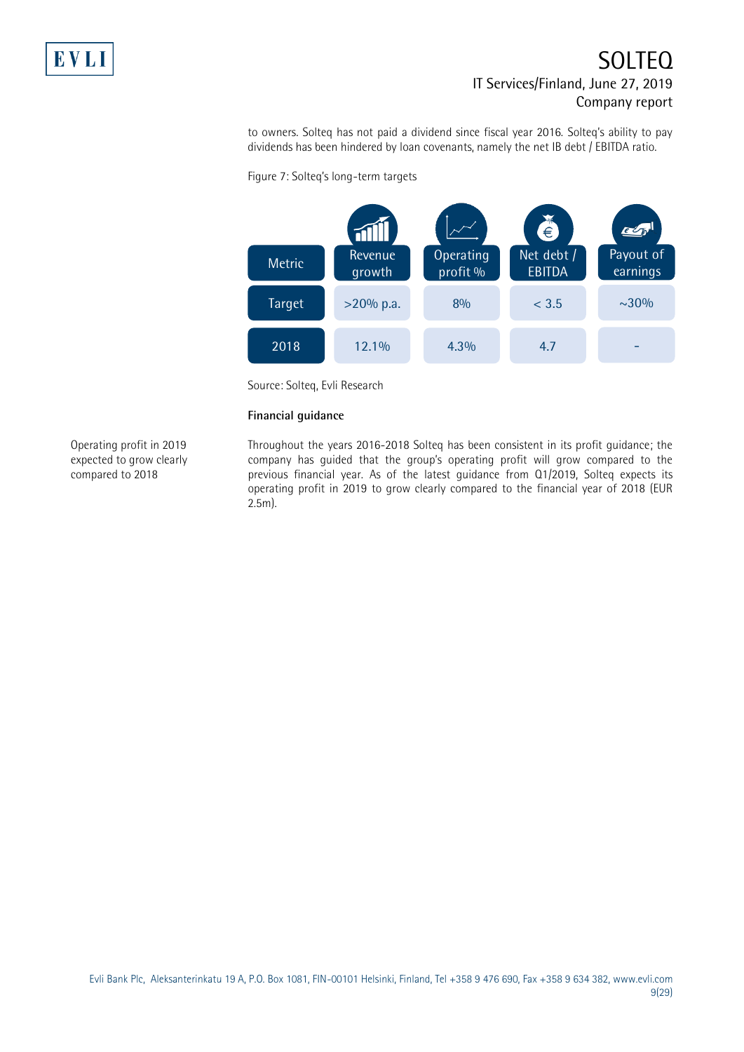

to owners. Solteq has not paid a dividend since fiscal year 2016. Solteq's ability to pay dividends has been hindered by loan covenants, namely the net IB debt / EBITDA ratio.



Figure 7: Solteq's long-term targets

Source: Solteq, Evli Research

### **Financial guidance**

Operating profit in 2019 expected to grow clearly compared to 2018

Throughout the years 2016-2018 Solteq has been consistent in its profit guidance; the company has guided that the group's operating profit will grow compared to the previous financial year. As of the latest guidance from Q1/2019, Solteq expects its operating profit in 2019 to grow clearly compared to the financial year of 2018 (EUR 2.5m).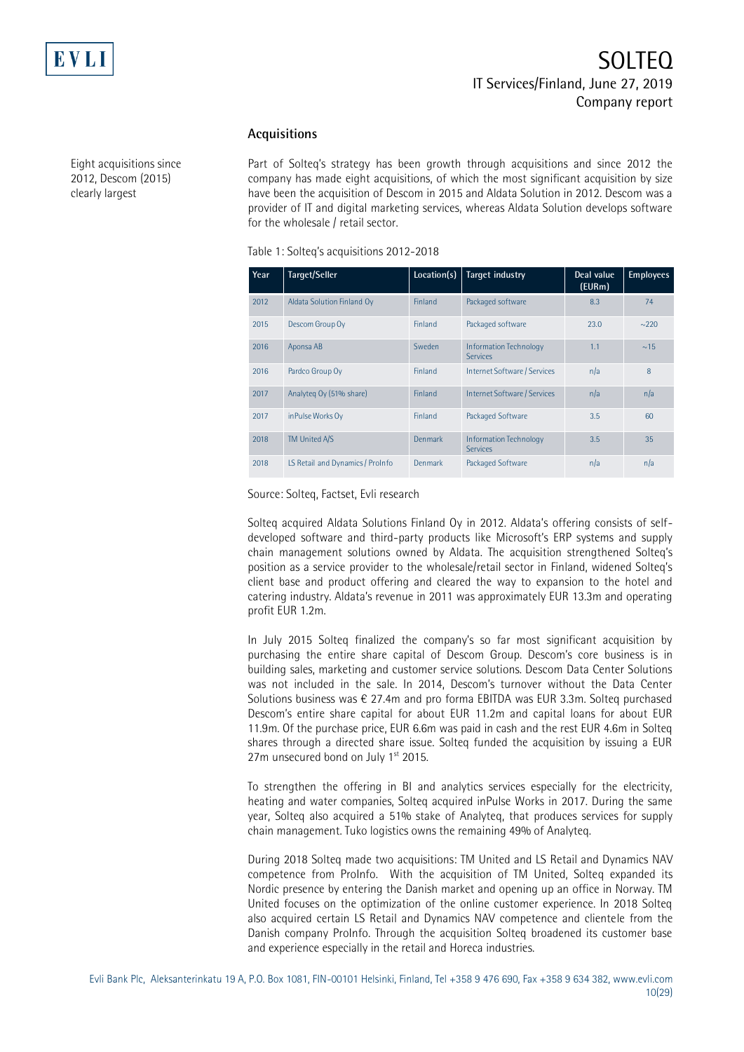

### **Acquisitions**

Part of Solteq's strategy has been growth through acquisitions and since 2012 the company has made eight acquisitions, of which the most significant acquisition by size have been the acquisition of Descom in 2015 and Aldata Solution in 2012. Descom was a provider of IT and digital marketing services, whereas Aldata Solution develops software for the wholesale / retail sector.

| Year | Target/Seller                    | Location(s) | Target industry                                  | Deal value<br>(EURm) | <b>Employees</b> |
|------|----------------------------------|-------------|--------------------------------------------------|----------------------|------------------|
| 2012 | Aldata Solution Finland Oy       | Finland     | Packaged software                                | 8.3                  | 74               |
| 2015 | Descom Group Oy                  | Finland     | Packaged software                                | 23.0                 | $\sim$ 220       |
| 2016 | Aponsa AB                        | Sweden      | <b>Information Technology</b><br><b>Services</b> | 1.1                  | ~15              |
| 2016 | Pardco Group Oy                  | Finland     | Internet Software / Services                     | n/a                  | 8                |
| 2017 | Analyteg Oy (51% share)          | Finland     | Internet Software / Services                     | n/a                  | n/a              |
| 2017 | inPulse Works Oy                 | Finland     | Packaged Software                                | 3.5                  | 60               |
| 2018 | <b>TM United A/S</b>             | Denmark     | <b>Information Technology</b><br><b>Services</b> | 3.5                  | 35               |
| 2018 | LS Retail and Dynamics / ProInfo | Denmark     | Packaged Software                                | nla                  | n/a              |

Source: Solteq, Factset, Evli research

Solteq acquired Aldata Solutions Finland Oy in 2012. Aldata's offering consists of selfdeveloped software and third-party products like Microsoft's ERP systems and supply chain management solutions owned by Aldata. The acquisition strengthened Solteq's position as a service provider to the wholesale/retail sector in Finland, widened Solteq's client base and product offering and cleared the way to expansion to the hotel and catering industry. Aldata's revenue in 2011 was approximately EUR 13.3m and operating profit EUR 1.2m.

In July 2015 Solteq finalized the company's so far most significant acquisition by purchasing the entire share capital of Descom Group. Descom's core business is in building sales, marketing and customer service solutions. Descom Data Center Solutions was not included in the sale. In 2014, Descom's turnover without the Data Center Solutions business was  $\epsilon$  27.4m and pro forma EBITDA was EUR 3.3m. Solteq purchased Descom's entire share capital for about EUR 11.2m and capital loans for about EUR 11.9m. Of the purchase price, EUR 6.6m was paid in cash and the rest EUR 4.6m in Solteq shares through a directed share issue. Solteq funded the acquisition by issuing a EUR 27m unsecured bond on July  $1<sup>st</sup>$  2015.

To strengthen the offering in BI and analytics services especially for the electricity, heating and water companies, Solteq acquired inPulse Works in 2017. During the same year, Solteq also acquired a 51% stake of Analyteq, that produces services for supply chain management. Tuko logistics owns the remaining 49% of Analyteq.

During 2018 Solteq made two acquisitions: TM United and LS Retail and Dynamics NAV competence from ProInfo. With the acquisition of TM United, Solteq expanded its Nordic presence by entering the Danish market and opening up an office in Norway. TM United focuses on the optimization of the online customer experience. In 2018 Solteq also acquired certain LS Retail and Dynamics NAV competence and clientele from the Danish company ProInfo. Through the acquisition Solteq broadened its customer base and experience especially in the retail and Horeca industries.

Eight acquisitions since 2012, Descom (2015) clearly largest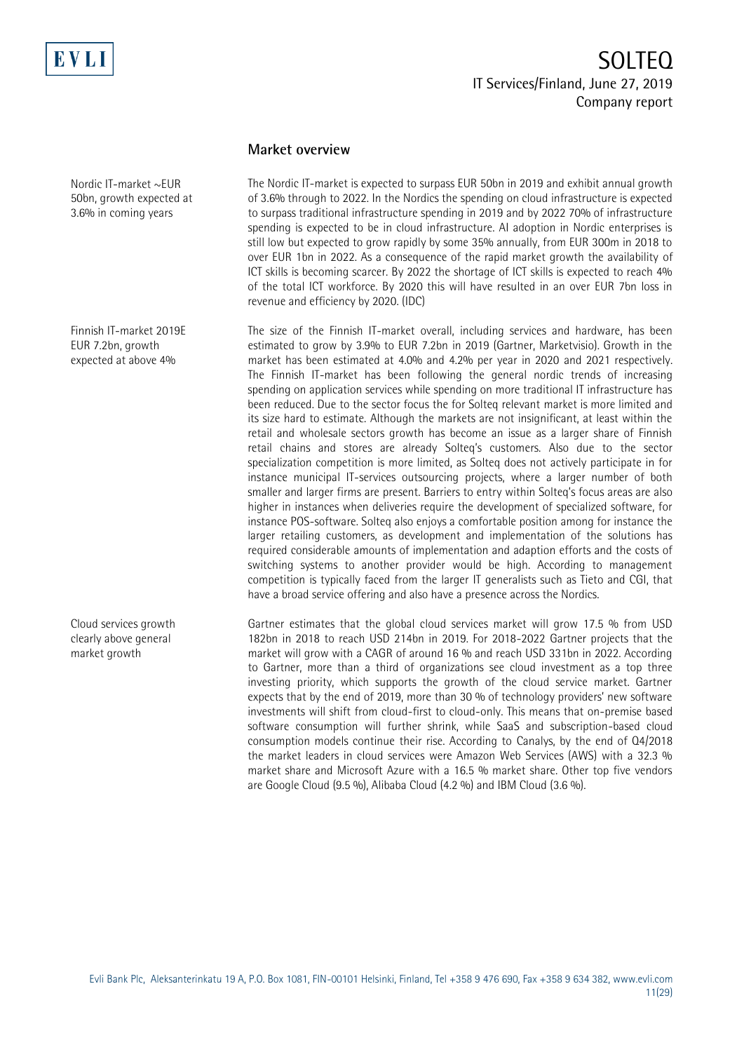

**Market overview**

The Nordic IT-market is expected to surpass EUR 50bn in 2019 and exhibit annual growth of 3.6% through to 2022. In the Nordics the spending on cloud infrastructure is expected to surpass traditional infrastructure spending in 2019 and by 2022 70% of infrastructure spending is expected to be in cloud infrastructure. AI adoption in Nordic enterprises is still low but expected to grow rapidly by some 35% annually, from EUR 300m in 2018 to over EUR 1bn in 2022. As a consequence of the rapid market growth the availability of ICT skills is becoming scarcer. By 2022 the shortage of ICT skills is expected to reach 4% of the total ICT workforce. By 2020 this will have resulted in an over EUR 7bn loss in revenue and efficiency by 2020. (IDC)

The size of the Finnish IT-market overall, including services and hardware, has been estimated to grow by 3.9% to EUR 7.2bn in 2019 (Gartner, Marketvisio). Growth in the market has been estimated at 4.0% and 4.2% per year in 2020 and 2021 respectively. The Finnish IT-market has been following the general nordic trends of increasing spending on application services while spending on more traditional IT infrastructure has been reduced. Due to the sector focus the for Solteq relevant market is more limited and its size hard to estimate. Although the markets are not insignificant, at least within the retail and wholesale sectors growth has become an issue as a larger share of Finnish retail chains and stores are already Solteq's customers. Also due to the sector specialization competition is more limited, as Solteq does not actively participate in for instance municipal IT-services outsourcing projects, where a larger number of both smaller and larger firms are present. Barriers to entry within Solteq's focus areas are also higher in instances when deliveries require the development of specialized software, for instance POS-software. Solteq also enjoys a comfortable position among for instance the larger retailing customers, as development and implementation of the solutions has required considerable amounts of implementation and adaption efforts and the costs of switching systems to another provider would be high. According to management competition is typically faced from the larger IT generalists such as Tieto and CGI, that have a broad service offering and also have a presence across the Nordics.

Gartner estimates that the global cloud services market will grow 17.5 % from USD 182bn in 2018 to reach USD 214bn in 2019. For 2018-2022 Gartner projects that the market will grow with a CAGR of around 16 % and reach USD 331bn in 2022. According to Gartner, more than a third of organizations see cloud investment as a top three investing priority, which supports the growth of the cloud service market. Gartner expects that by the end of 2019, more than 30 % of technology providers' new software investments will shift from cloud-first to cloud-only. This means that on-premise based software consumption will further shrink, while SaaS and subscription-based cloud consumption models continue their rise. According to Canalys, by the end of Q4/2018 the market leaders in cloud services were Amazon Web Services (AWS) with a 32.3 % market share and Microsoft Azure with a 16.5 % market share. Other top five vendors are Google Cloud (9.5 %), Alibaba Cloud (4.2 %) and IBM Cloud (3.6 %).

Nordic IT-market ~EUR 50bn, growth expected at 3.6% in coming years

Finnish IT-market 2019E EUR 7.2bn, growth expected at above 4%

Cloud services growth clearly above general market growth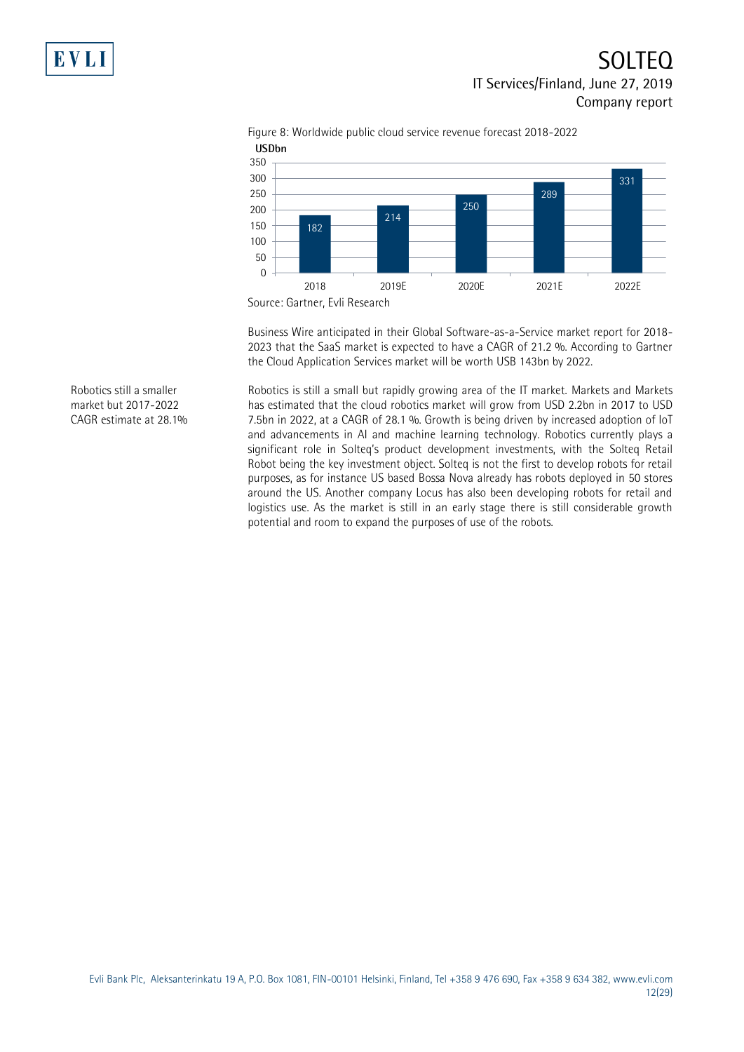

Figure 8: Worldwide public cloud service revenue forecast 2018-2022

Business Wire anticipated in their Global Software-as-a-Service market report for 2018- 2023 that the SaaS market is expected to have a CAGR of 21.2 %. According to Gartner the Cloud Application Services market will be worth USB 143bn by 2022.

Robotics is still a small but rapidly growing area of the IT market. Markets and Markets has estimated that the cloud robotics market will grow from USD 2.2bn in 2017 to USD 7.5bn in 2022, at a CAGR of 28.1 %. Growth is being driven by increased adoption of loT and advancements in AI and machine learning technology. Robotics currently plays a significant role in Solteq's product development investments, with the Solteq Retail Robot being the key investment object. Solteq is not the first to develop robots for retail purposes, as for instance US based Bossa Nova already has robots deployed in 50 stores around the US. Another company Locus has also been developing robots for retail and logistics use. As the market is still in an early stage there is still considerable growth potential and room to expand the purposes of use of the robots.

Robotics still a smaller market but 2017-2022 CAGR estimate at 28.1%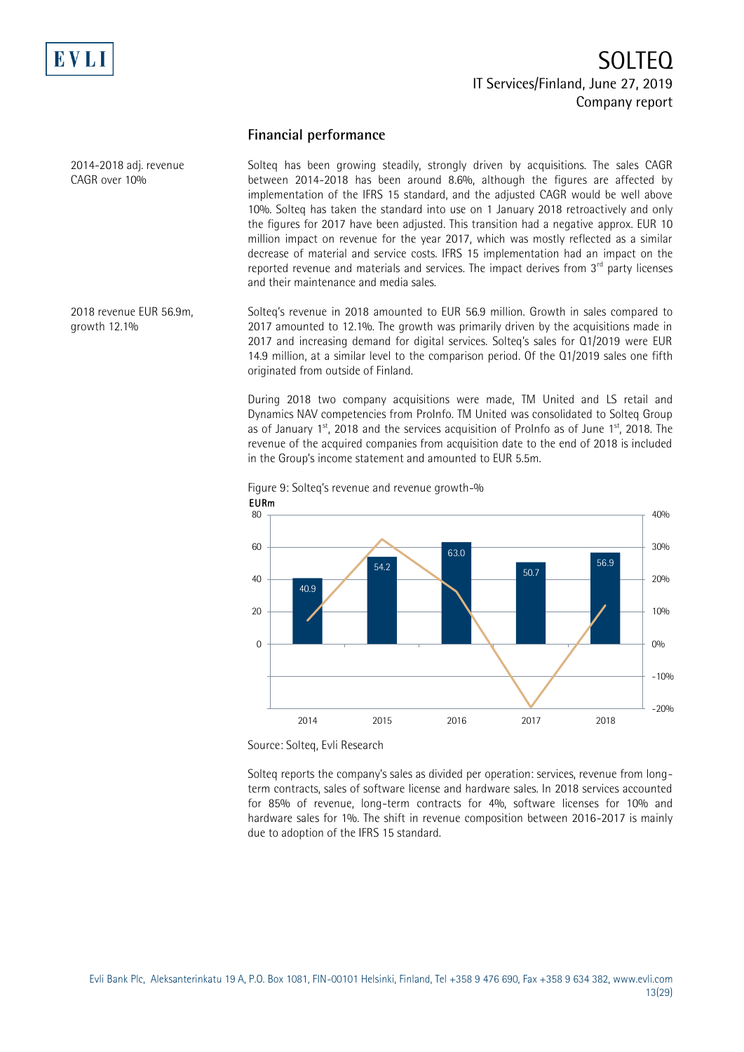

2014-2018 adj. revenue CAGR over 10%

# SOLTEQ IT Services/Finland, June 27, 2019 Company report

## **Financial performance**

Solteq has been growing steadily, strongly driven by acquisitions. The sales CAGR between 2014-2018 has been around 8.6%, although the figures are affected by implementation of the IFRS 15 standard, and the adjusted CAGR would be well above 10%. Solteq has taken the standard into use on 1 January 2018 retroactively and only the figures for 2017 have been adjusted. This transition had a negative approx. EUR 10 million impact on revenue for the year 2017, which was mostly reflected as a similar decrease of material and service costs. IFRS 15 implementation had an impact on the reported revenue and materials and services. The impact derives from  $3<sup>rd</sup>$  party licenses and their maintenance and media sales.

Solteq's revenue in 2018 amounted to EUR 56.9 million. Growth in sales compared to 2017 amounted to 12.1%. The growth was primarily driven by the acquisitions made in 2017 and increasing demand for digital services. Solteq's sales for Q1/2019 were EUR 14.9 million, at a similar level to the comparison period. Of the Q1/2019 sales one fifth originated from outside of Finland. 2018 revenue EUR 56.9m, growth 12.1%

> During 2018 two company acquisitions were made, TM United and LS retail and Dynamics NAV competencies from ProInfo. TM United was consolidated to Solteq Group as of January  $1^{st}$ , 2018 and the services acquisition of ProInfo as of June  $1^{st}$ , 2018. The revenue of the acquired companies from acquisition date to the end of 2018 is included in the Group's income statement and amounted to EUR 5.5m.



Figure 9: Solteq's revenue and revenue growth-% EURm

Source: Solteq, Evli Research

Solteq reports the company's sales as divided per operation: services, revenue from longterm contracts, sales of software license and hardware sales. In 2018 services accounted for 85% of revenue, long-term contracts for 4%, software licenses for 10% and hardware sales for 1%. The shift in revenue composition between 2016-2017 is mainly due to adoption of the IFRS 15 standard.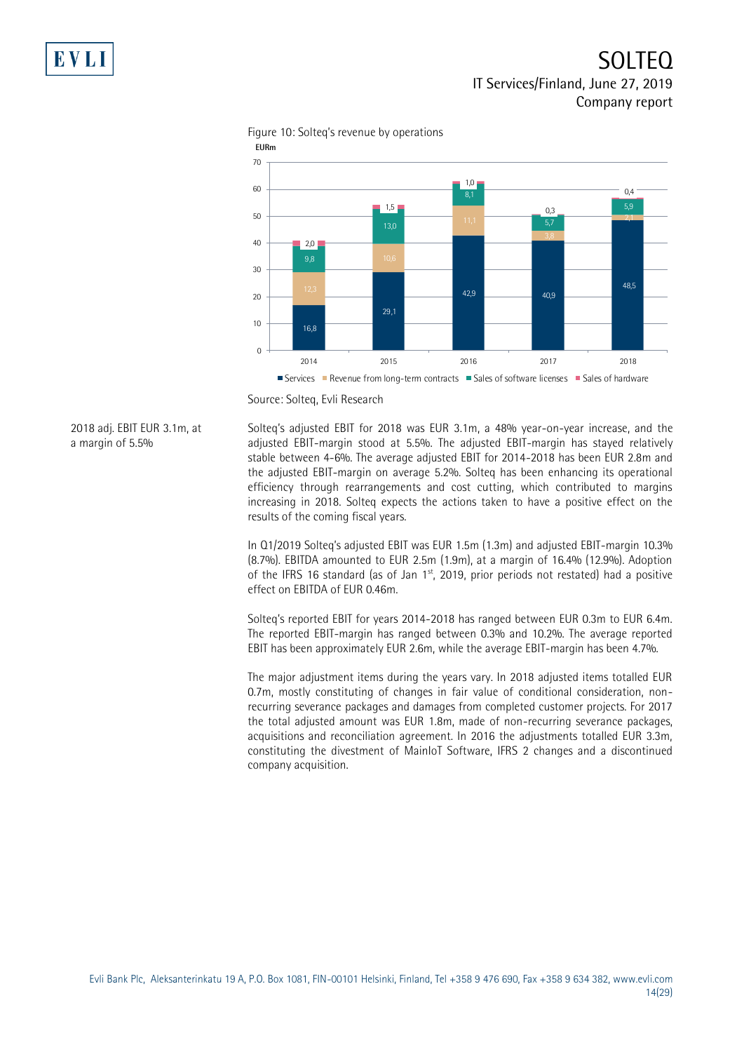

Figure 10: Solteq's revenue by operations

Source: Solteq, Evli Research

2018 adj. EBIT EUR 3.1m, at a margin of 5.5%

Solteq's adjusted EBIT for 2018 was EUR 3.1m, a 48% year-on-year increase, and the adjusted EBIT-margin stood at 5.5%. The adjusted EBIT-margin has stayed relatively stable between 4-6%. The average adjusted EBIT for 2014-2018 has been EUR 2.8m and the adjusted EBIT-margin on average 5.2%. Solteq has been enhancing its operational efficiency through rearrangements and cost cutting, which contributed to margins increasing in 2018. Solteq expects the actions taken to have a positive effect on the results of the coming fiscal years.

In Q1/2019 Solteq's adjusted EBIT was EUR 1.5m (1.3m) and adjusted EBIT-margin 10.3% (8.7%). EBITDA amounted to EUR 2.5m (1.9m), at a margin of 16.4% (12.9%). Adoption of the IFRS 16 standard (as of Jan  $1<sup>st</sup>$ , 2019, prior periods not restated) had a positive effect on EBITDA of EUR 0.46m.

Solteq's reported EBIT for years 2014-2018 has ranged between EUR 0.3m to EUR 6.4m. The reported EBIT-margin has ranged between 0.3% and 10.2%. The average reported EBIT has been approximately EUR 2.6m, while the average EBIT-margin has been 4.7%.

The major adjustment items during the years vary. In 2018 adjusted items totalled EUR 0.7m, mostly constituting of changes in fair value of conditional consideration, nonrecurring severance packages and damages from completed customer projects. For 2017 the total adjusted amount was EUR 1.8m, made of non-recurring severance packages, acquisitions and reconciliation agreement. In 2016 the adjustments totalled EUR 3.3m, constituting the divestment of MainIoT Software, IFRS 2 changes and a discontinued company acquisition.

Services Revenue from long-term contracts Sales of software licenses Sales of hardware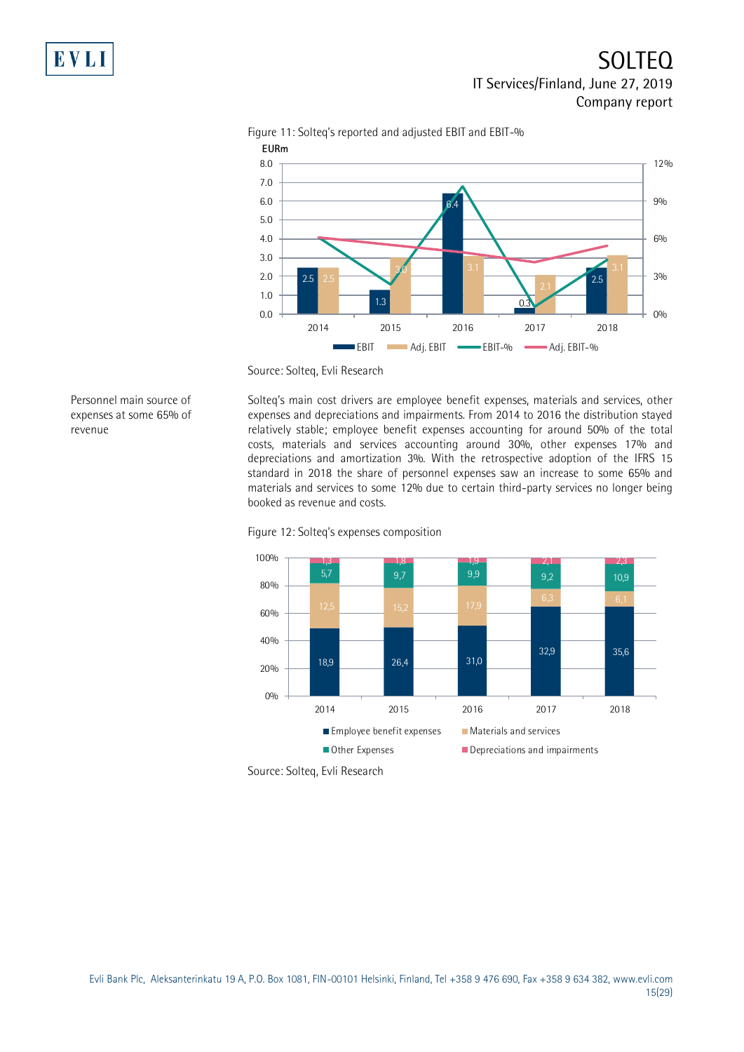

Figure 11: Solteq's reported and adjusted EBIT and EBIT-%

Personnel main source of expenses at some 65% of revenue

Solteq's main cost drivers are employee benefit expenses, materials and services, other expenses and depreciations and impairments. From 2014 to 2016 the distribution stayed relatively stable; employee benefit expenses accounting for around 50% of the total costs, materials and services accounting around 30%, other expenses 17% and depreciations and amortization 3%. With the retrospective adoption of the IFRS 15 standard in 2018 the share of personnel expenses saw an increase to some 65% and materials and services to some 12% due to certain third-party services no longer being booked as revenue and costs.





Source: Solteq, Evli Research

Source: Solteq, Evli Research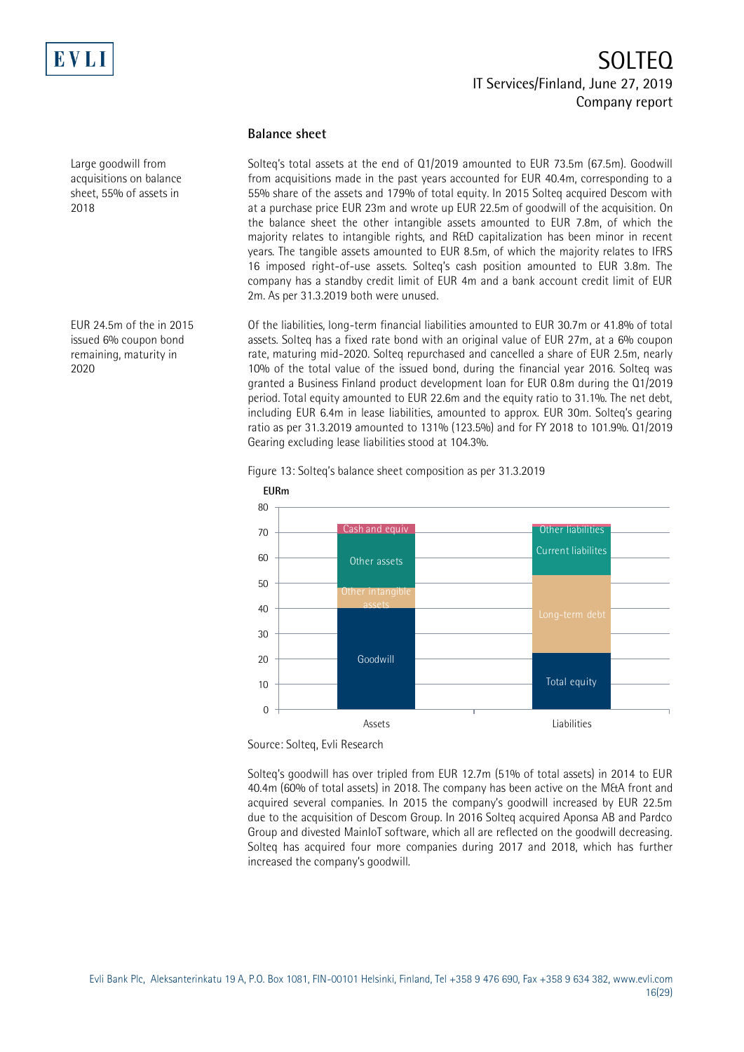

Large goodwill from acquisitions on balance sheet, 55% of assets in 2018

EUR 24.5m of the in 2015 issued 6% coupon bond remaining, maturity in 2020

## **Balance sheet**

Solteq's total assets at the end of Q1/2019 amounted to EUR 73.5m (67.5m). Goodwill from acquisitions made in the past years accounted for EUR 40.4m, corresponding to a 55% share of the assets and 179% of total equity. In 2015 Solteq acquired Descom with at a purchase price EUR 23m and wrote up EUR 22.5m of goodwill of the acquisition. On the balance sheet the other intangible assets amounted to EUR 7.8m, of which the majority relates to intangible rights, and R&D capitalization has been minor in recent years. The tangible assets amounted to EUR 8.5m, of which the majority relates to IFRS 16 imposed right-of-use assets. Solteq's cash position amounted to EUR 3.8m. The company has a standby credit limit of EUR 4m and a bank account credit limit of EUR 2m. As per 31.3.2019 both were unused.

Of the liabilities, long-term financial liabilities amounted to EUR 30.7m or 41.8% of total assets. Solteq has a fixed rate bond with an original value of EUR 27m, at a 6% coupon rate, maturing mid-2020. Solteq repurchased and cancelled a share of EUR 2.5m, nearly 10% of the total value of the issued bond, during the financial year 2016. Solteq was granted a Business Finland product development loan for EUR 0.8m during the Q1/2019 period. Total equity amounted to EUR 22.6m and the equity ratio to 31.1%. The net debt, including EUR 6.4m in lease liabilities, amounted to approx. EUR 30m. Solteq's gearing ratio as per 31.3.2019 amounted to 131% (123.5%) and for FY 2018 to 101.9%. Q1/2019 Gearing excluding lease liabilities stood at 104.3%.

Figure 13: Solteq's balance sheet composition as per 31.3.2019



Source: Solteq, Evli Research

Solteq's goodwill has over tripled from EUR 12.7m (51% of total assets) in 2014 to EUR 40.4m (60% of total assets) in 2018. The company has been active on the M&A front and acquired several companies. In 2015 the company's goodwill increased by EUR 22.5m due to the acquisition of Descom Group. In 2016 Solteq acquired Aponsa AB and Pardco Group and divested MainIoT software, which all are reflected on the goodwill decreasing. Solteq has acquired four more companies during 2017 and 2018, which has further increased the company's goodwill.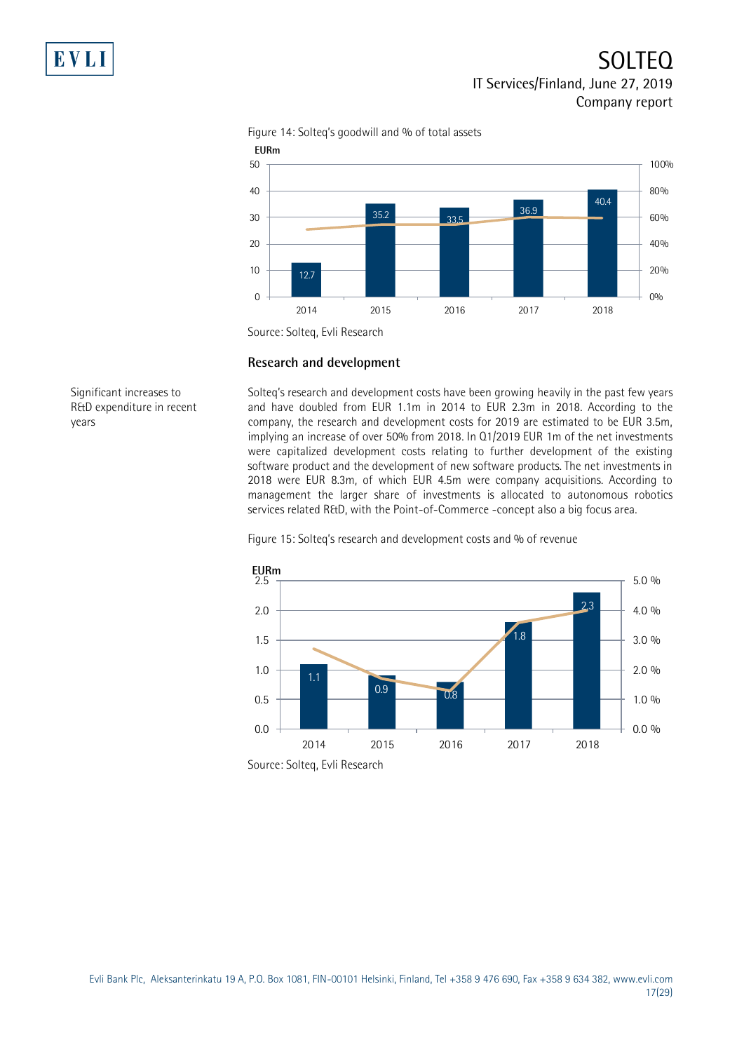

Figure 14: Solteq's goodwill and % of total assets

## **Research and development**

Significant increases to R&D expenditure in recent years

Solteq's research and development costs have been growing heavily in the past few years and have doubled from EUR 1.1m in 2014 to EUR 2.3m in 2018. According to the company, the research and development costs for 2019 are estimated to be EUR 3.5m, implying an increase of over 50% from 2018. In Q1/2019 EUR 1m of the net investments were capitalized development costs relating to further development of the existing software product and the development of new software products. The net investments in 2018 were EUR 8.3m, of which EUR 4.5m were company acquisitions. According to management the larger share of investments is allocated to autonomous robotics services related R&D, with the Point-of-Commerce -concept also a big focus area.

## Figure 15: Solteq's research and development costs and % of revenue



Source: Solteq, Evli Research

Source: Solteq, Evli Research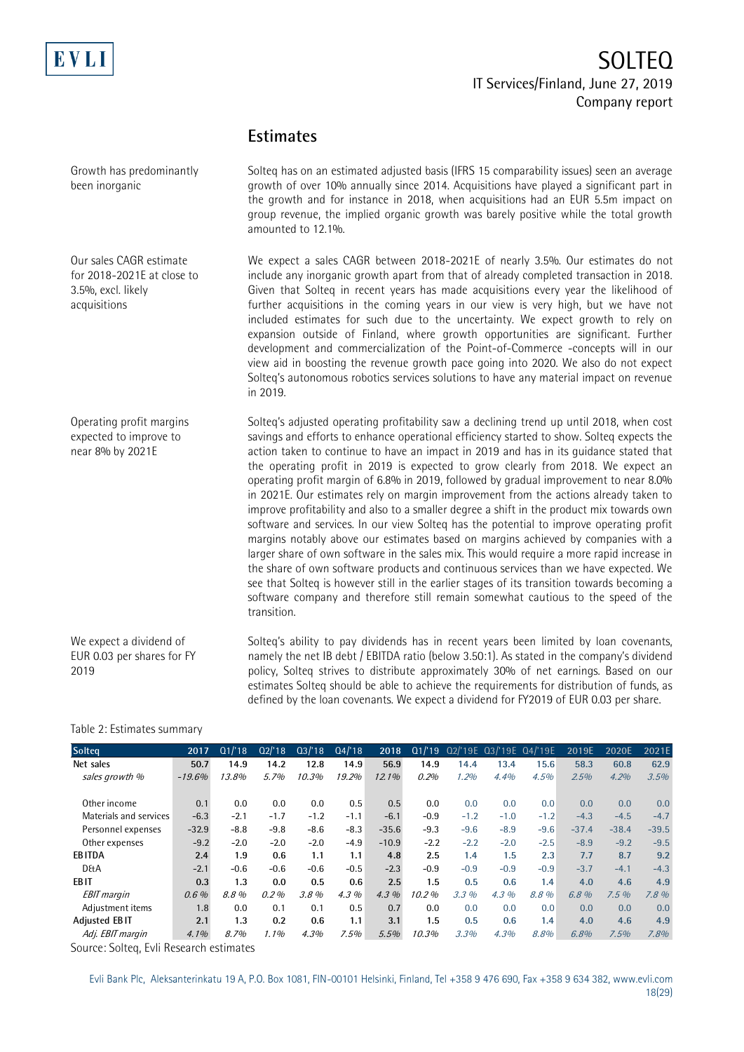

## **Estimates**

| Growth has predominantly<br>been inorganic                                                  | Solteg has on an estimated adjusted basis (IFRS 15 comparability issues) seen an average<br>growth of over 10% annually since 2014. Acquisitions have played a significant part in<br>the growth and for instance in 2018, when acquisitions had an EUR 5.5m impact on<br>group revenue, the implied organic growth was barely positive while the total growth<br>amounted to 12.1%.                                                                                                                                                                                                                                                                                                                                                                                                                                                                                                                                                                                                                                                                                                                                                                                                                                       |
|---------------------------------------------------------------------------------------------|----------------------------------------------------------------------------------------------------------------------------------------------------------------------------------------------------------------------------------------------------------------------------------------------------------------------------------------------------------------------------------------------------------------------------------------------------------------------------------------------------------------------------------------------------------------------------------------------------------------------------------------------------------------------------------------------------------------------------------------------------------------------------------------------------------------------------------------------------------------------------------------------------------------------------------------------------------------------------------------------------------------------------------------------------------------------------------------------------------------------------------------------------------------------------------------------------------------------------|
| Our sales CAGR estimate<br>for 2018-2021E at close to<br>3.5%, excl. likely<br>acquisitions | We expect a sales CAGR between 2018-2021E of nearly 3.5%. Our estimates do not<br>include any inorganic growth apart from that of already completed transaction in 2018.<br>Given that Solteq in recent years has made acquisitions every year the likelihood of<br>further acquisitions in the coming years in our view is very high, but we have not<br>included estimates for such due to the uncertainty. We expect growth to rely on<br>expansion outside of Finland, where growth opportunities are significant. Further<br>development and commercialization of the Point-of-Commerce -concepts will in our<br>view aid in boosting the revenue growth pace going into 2020. We also do not expect<br>Solteg's autonomous robotics services solutions to have any material impact on revenue<br>in 2019.                                                                                                                                                                                                                                                                                                                                                                                                            |
| Operating profit margins<br>expected to improve to<br>near 8% by 2021E                      | Solteg's adjusted operating profitability saw a declining trend up until 2018, when cost<br>savings and efforts to enhance operational efficiency started to show. Solteq expects the<br>action taken to continue to have an impact in 2019 and has in its guidance stated that<br>the operating profit in 2019 is expected to grow clearly from 2018. We expect an<br>operating profit margin of 6.8% in 2019, followed by gradual improvement to near 8.0%<br>in 2021E. Our estimates rely on margin improvement from the actions already taken to<br>improve profitability and also to a smaller degree a shift in the product mix towards own<br>software and services. In our view Solteq has the potential to improve operating profit<br>margins notably above our estimates based on margins achieved by companies with a<br>larger share of own software in the sales mix. This would require a more rapid increase in<br>the share of own software products and continuous services than we have expected. We<br>see that Solteg is however still in the earlier stages of its transition towards becoming a<br>software company and therefore still remain somewhat cautious to the speed of the<br>transition. |
| We expect a dividend of<br>EUR 0.03 per shares for FY<br>2019                               | Solteg's ability to pay dividends has in recent years been limited by loan covenants,<br>namely the net IB debt / EBITDA ratio (below 3.50:1). As stated in the company's dividend<br>policy, Solteq strives to distribute approximately 30% of net earnings. Based on our                                                                                                                                                                                                                                                                                                                                                                                                                                                                                                                                                                                                                                                                                                                                                                                                                                                                                                                                                 |

### Table 2: Estimates summary

| <b>Solteg</b>          | 2017     | Q1/18  | Q2'18   | Q3/18  | Q4/18   | 2018     |        |        | Q1/'19 Q2/'19E Q3/'19E Q4/'19E |        | 2019E   | 2020E   | 2021E   |
|------------------------|----------|--------|---------|--------|---------|----------|--------|--------|--------------------------------|--------|---------|---------|---------|
| Net sales              | 50.7     | 14.9   | 14.2    | 12.8   | 14.9    | 56.9     | 14.9   | 14.4   | 13.4                           | 15.6   | 58.3    | 60.8    | 62.9    |
| sales growth %         | $-19.6%$ | 13.8%  | 5.7%    | 10.3%  | 19.2%   | $12.1\%$ | 0.2%   | 1.2%   | 4.4%                           | 4.5%   | 2.5%    | 4.2%    | 3.5%    |
|                        |          |        |         |        |         |          |        |        |                                |        |         |         |         |
| Other income           | 0.1      | 0.0    | 0.0     | 0.0    | 0.5     | 0.5      | 0.0    | 0.0    | 0.0                            | 0.0    | 0.0     | 0.0     | 0.0     |
| Materials and services | $-6.3$   | $-2.1$ | $-1.7$  | $-1.2$ | $-1.1$  | $-6.1$   | $-0.9$ | $-1.2$ | $-1.0$                         | $-1.2$ | $-4.3$  | $-4.5$  | $-4.7$  |
| Personnel expenses     | $-32.9$  | $-8.8$ | $-9.8$  | $-8.6$ | $-8.3$  | $-35.6$  | $-9.3$ | $-9.6$ | $-8.9$                         | $-9.6$ | $-37.4$ | $-38.4$ | $-39.5$ |
| Other expenses         | $-9.2$   | $-2.0$ | $-2.0$  | $-2.0$ | $-4.9$  | $-10.9$  | $-2.2$ | $-2.2$ | $-2.0$                         | $-2.5$ | $-8.9$  | $-9.2$  | $-9.5$  |
| <b>EBITDA</b>          | 2.4      | 1.9    | 0.6     | 1.1    | 1.1     | 4.8      | 2.5    | 1.4    | 1.5                            | 2.3    | 7.7     | 8.7     | 9.2     |
| <b>D&amp;A</b>         | $-2.1$   | $-0.6$ | $-0.6$  | $-0.6$ | $-0.5$  | $-2.3$   | $-0.9$ | $-0.9$ | $-0.9$                         | $-0.9$ | $-3.7$  | $-4.1$  | $-4.3$  |
| <b>EBIT</b>            | 0.3      | 1.3    | 0.0     | 0.5    | 0.6     | 2.5      | 1.5    | 0.5    | 0.6                            | 1.4    | 4.0     | 4.6     | 4.9     |
| <b>EBIT</b> margin     | 0.6%     | 8.8%   | 0.2%    | 3.8%   | $4.3\%$ | $4.3\%$  | 10.2%  | 3.3%   | 4.3%                           | 8.8%   | 6.8 %   | 7.5%    | 7.8%    |
| Adjustment items       | 1.8      | 0.0    | 0.1     | 0.1    | 0.5     | 0.7      | 0.0    | 0.0    | 0.0                            | 0.0    | 0.0     | 0.0     | 0.0     |
| Adjusted EBIT          | 2.1      | 1.3    | 0.2     | 0.6    | 1.1     | 3.1      | 1.5    | 0.5    | 0.6                            | 1.4    | 4.0     | 4.6     | 4.9     |
| Adj. EBIT margin       | $4.1\%$  | 8.7%   | $1.1\%$ | 4.3%   | 7.5%    | 5.5%     | 10.3%  | 3.3%   | 4.3%                           | 8.8%   | 6.8%    | 7.5%    | 7.8%    |

estimates Solteq should be able to achieve the requirements for distribution of funds, as defined by the loan covenants. We expect a dividend for FY2019 of EUR 0.03 per share.

Source: Solteq, Evli Research estimates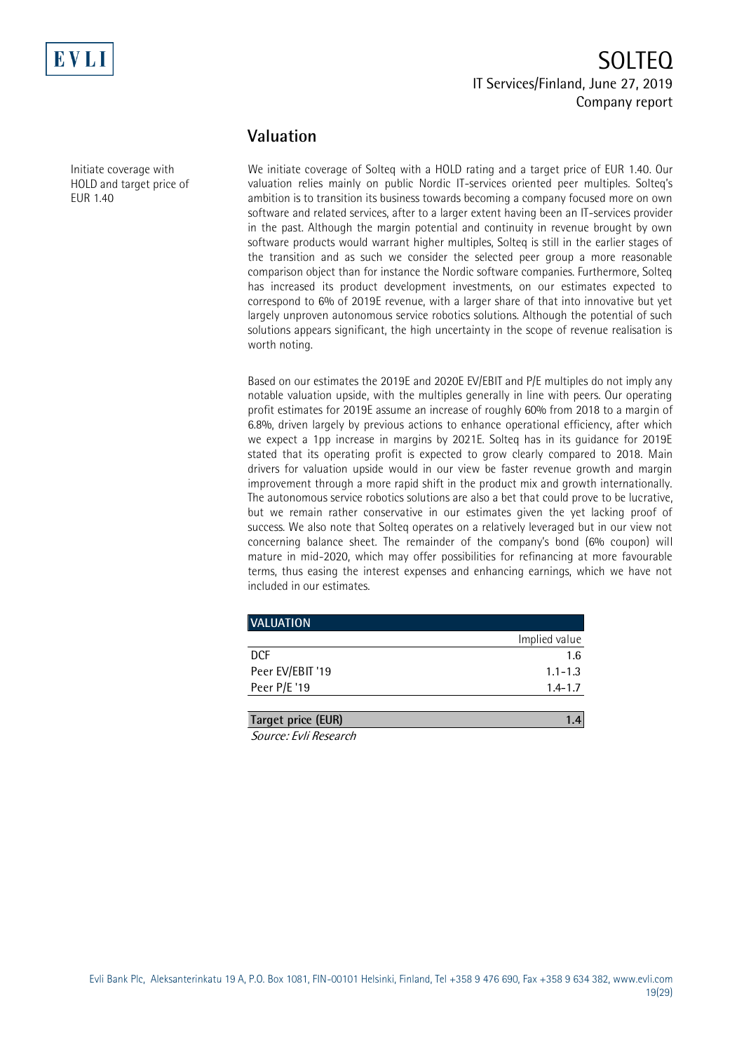

Initiate coverage with HOLD and target price of

EUR 1.40

# SOLTEQ IT Services/Finland, June 27, 2019 Company report

## **Valuation**

We initiate coverage of Solteq with a HOLD rating and a target price of EUR 1.40. Our valuation relies mainly on public Nordic IT-services oriented peer multiples. Solteq's ambition is to transition its business towards becoming a company focused more on own software and related services, after to a larger extent having been an IT-services provider in the past. Although the margin potential and continuity in revenue brought by own software products would warrant higher multiples, Solteq is still in the earlier stages of the transition and as such we consider the selected peer group a more reasonable comparison object than for instance the Nordic software companies. Furthermore, Solteq has increased its product development investments, on our estimates expected to correspond to 6% of 2019E revenue, with a larger share of that into innovative but yet largely unproven autonomous service robotics solutions. Although the potential of such solutions appears significant, the high uncertainty in the scope of revenue realisation is worth noting.

Based on our estimates the 2019E and 2020E EV/EBIT and P/E multiples do not imply any notable valuation upside, with the multiples generally in line with peers. Our operating profit estimates for 2019E assume an increase of roughly 60% from 2018 to a margin of 6.8%, driven largely by previous actions to enhance operational efficiency, after which we expect a 1pp increase in margins by 2021E. Solteq has in its guidance for 2019E stated that its operating profit is expected to grow clearly compared to 2018. Main drivers for valuation upside would in our view be faster revenue growth and margin improvement through a more rapid shift in the product mix and growth internationally. The autonomous service robotics solutions are also a bet that could prove to be lucrative, but we remain rather conservative in our estimates given the yet lacking proof of success. We also note that Solteq operates on a relatively leveraged but in our view not concerning balance sheet. The remainder of the company's bond (6% coupon) will mature in mid-2020, which may offer possibilities for refinancing at more favourable terms, thus easing the interest expenses and enhancing earnings, which we have not included in our estimates.

| <b>VALUATION</b>   |               |
|--------------------|---------------|
|                    | Implied value |
| <b>DCF</b>         | 1.6           |
| Peer EV/EBIT '19   | $1.1 - 1.3$   |
| Peer P/E '19       | $1.4 - 1.7$   |
|                    |               |
| Target price (EUR) |               |

Source: Evli Research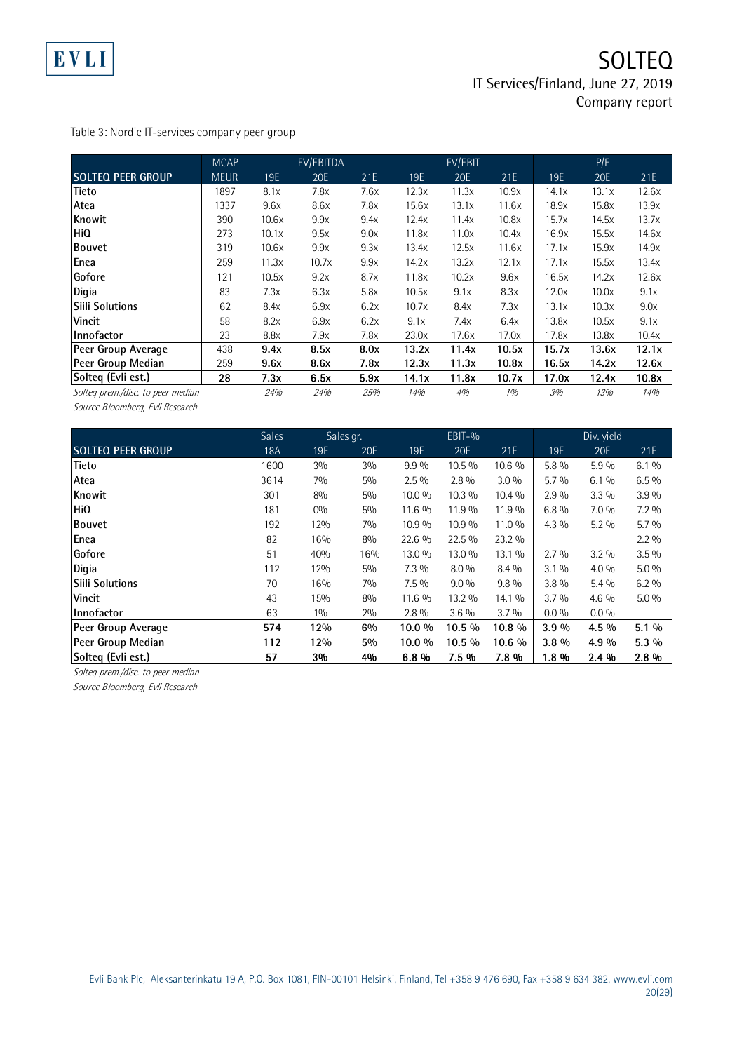

Table 3: Nordic IT-services company peer group

|                                   | <b>MCAP</b> |        | EV/EBITDA |        |       | EV/EBIT |       |       | P/E    |        |
|-----------------------------------|-------------|--------|-----------|--------|-------|---------|-------|-------|--------|--------|
| <b>SOLTEQ PEER GROUP</b>          | <b>MEUR</b> | 19E    | 20E       | 21E    | 19E   | 20E     | 21E   | 19E   | 20E    | 21E    |
| <b>Tieto</b>                      | 1897        | 8.1x   | 7.8x      | 7.6x   | 12.3x | 11.3x   | 10.9x | 14.1x | 13.1x  | 12.6x  |
| Atea                              | 1337        | 9.6x   | 8.6x      | 7.8x   | 15.6x | 13.1x   | 11.6x | 18.9x | 15.8x  | 13.9x  |
| Knowit                            | 390         | 10.6x  | 9.9x      | 9.4x   | 12.4x | 11.4x   | 10.8x | 15.7x | 14.5x  | 13.7x  |
| <b>HiQ</b>                        | 273         | 10.1x  | 9.5x      | 9.0x   | 11.8x | 11.0x   | 10.4x | 16.9x | 15.5x  | 14.6x  |
| <b>Bouvet</b>                     | 319         | 10.6x  | 9.9x      | 9.3x   | 13.4x | 12.5x   | 11.6x | 17.1x | 15.9x  | 14.9x  |
| Enea                              | 259         | 11.3x  | 10.7x     | 9.9x   | 14.2x | 13.2x   | 12.1x | 17.1x | 15.5x  | 13.4x  |
| Gofore                            | 121         | 10.5x  | 9.2x      | 8.7x   | 11.8x | 10.2x   | 9.6x  | 16.5x | 14.2x  | 12.6x  |
| Digia                             | 83          | 7.3x   | 6.3x      | 5.8x   | 10.5x | 9.1x    | 8.3x  | 12.0x | 10.0x  | 9.1x   |
| lSiili Solutions                  | 62          | 8.4x   | 6.9x      | 6.2x   | 10.7x | 8.4x    | 7.3x  | 13.1x | 10.3x  | 9.0x   |
| <b>Vincit</b>                     | 58          | 8.2x   | 6.9x      | 6.2x   | 9.1x  | 7.4x    | 6.4x  | 13.8x | 10.5x  | 9.1x   |
| Innofactor                        | 23          | 8.8x   | 7.9x      | 7.8x   | 23.0x | 17.6x   | 17.0x | 17.8x | 13.8x  | 10.4x  |
| Peer Group Average                | 438         | 9.4x   | 8.5x      | 8.0x   | 13.2x | 11.4x   | 10.5x | 15.7x | 13.6x  | 12.1x  |
| Peer Group Median                 | 259         | 9.6x   | 8.6x      | 7.8x   | 12.3x | 11.3x   | 10.8x | 16.5x | 14.2x  | 12.6x  |
| Solteg (Evli est.)                | 28          | 7.3x   | 6.5x      | 5.9x   | 14.1x | 11.8x   | 10.7x | 17.0x | 12.4x  | 10.8x  |
| Solteg prem./disc. to peer median |             | $-24%$ | $-24%$    | $-25%$ | 14%   | 4%      | $-1%$ | 3%    | $-13%$ | $-14%$ |

Source Bloomberg, Evli Research

|                                   | <b>Sales</b> | Sales gr. |       | $EBIT-9$ |         |         | Div. yield |         |         |
|-----------------------------------|--------------|-----------|-------|----------|---------|---------|------------|---------|---------|
| <b>SOLTEQ PEER GROUP</b>          | <b>18A</b>   | 19E       | 20E   | 19E      | 20E     | 21E     | 19E        | 20E     | 21E     |
| <b>Tieto</b>                      | 1600         | 3%        | 3%    | 9.9%     | 10.5 %  | 10.6 %  | 5.8 %      | $5.9\%$ | 6.1%    |
| Atea                              | 3614         | 7%        | 5%    | $2.5\%$  | $2.8\%$ | 3.0%    | 5.7%       | 6.1%    | $6.5\%$ |
| Knowit                            | 301          | 8%        | 5%    | 10.0 %   | 10.3 %  | 10.4 %  | 2.9%       | $3.3\%$ | 3.9%    |
| HiQ                               | 181          | 0%        | 5%    | 11.6 %   | 11.9 %  | 11.9 %  | $6.8\%$    | $7.0\%$ | $7.2\%$ |
| <b>Bouvet</b>                     | 192          | 12%       | 7%    | 10.9 %   | 10.9 %  | 11.0 %  | $4.3\%$    | $5.2\%$ | $5.7\%$ |
| Enea                              | 82           | 16%       | 8%    | 22.6 %   | 22.5 %  | 23.2 %  |            |         | $2.2\%$ |
| Gofore                            | 51           | 40%       | 16%   | 13.0 %   | 13.0 %  | 13.1 %  | 2.7%       | $3.2\%$ | $3.5\%$ |
| Digia                             | 112          | 12%       | 5%    | $7.3\%$  | $8.0\%$ | 8.4 %   | $3.1\%$    | $4.0\%$ | $5.0\%$ |
| <b>Siili Solutions</b>            | 70           | 16%       | 7%    | $7.5\%$  | $9.0\%$ | $9.8\%$ | $3.8\%$    | $5.4\%$ | $6.2\%$ |
| <b>Vincit</b>                     | 43           | 15%       | 8%    | 11.6 %   | 13.2 %  | 14.1 %  | 3.7%       | $4.6\%$ | $5.0\%$ |
| Innofactor                        | 63           | $1\%$     | 2%    | $2.8\%$  | $3.6\%$ | 3.7%    | $0.0\%$    | $0.0\%$ |         |
| Peer Group Average                | 574          | 12%       | $6\%$ | 10.0 %   | 10.5 %  | 10.8 %  | 3.9%       | 4.5 %   | $5.1\%$ |
| Peer Group Median                 | 112          | 12%       | $5\%$ | 10.0 %   | 10.5 %  | 10.6 %  | $3.8\%$    | $4.9\%$ | $5.3\%$ |
| Solteq (Evli est.)                | 57           | 3%        | 4%    | 6.8%     | 7.5 %   | 7.8 %   | 1.8 %      | 2.4 %   | 2.8 %   |
| Solteg prem./disc. to peer median |              |           |       |          |         |         |            |         |         |

Source Bloomberg, Evli Research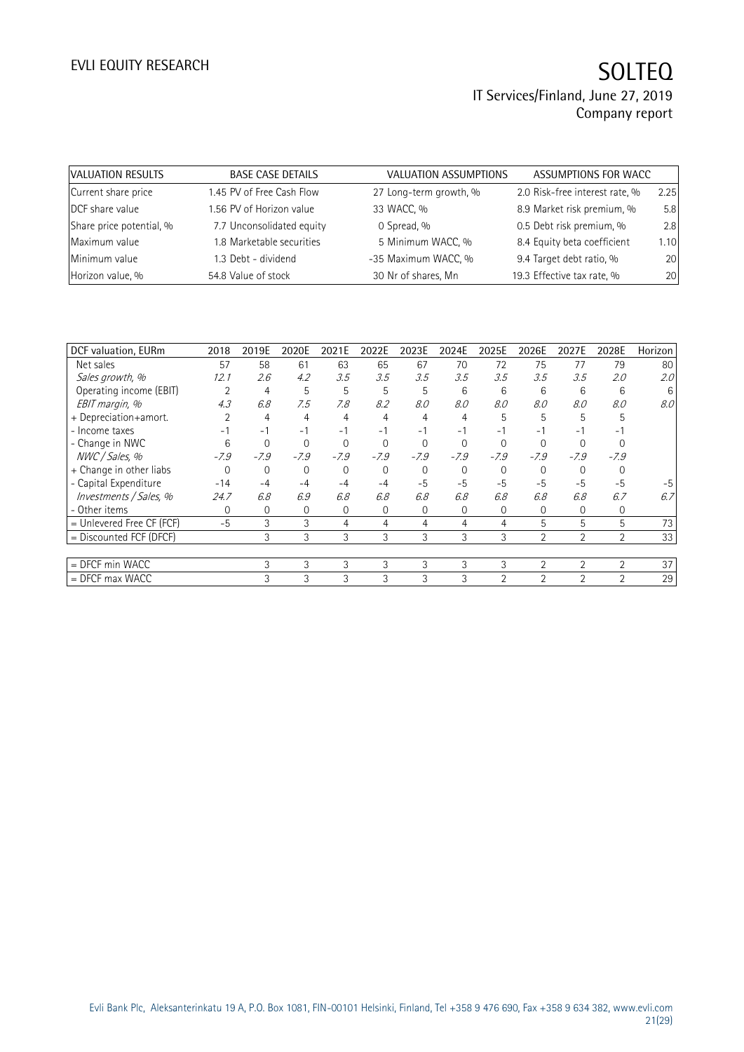| VALUATION RESULTS        | <b>BASE CASE DETAILS</b>  | VALUATION ASSUMPTIONS  | ASSUMPTIONS FOR WACC           |      |
|--------------------------|---------------------------|------------------------|--------------------------------|------|
| Current share price      | 1.45 PV of Free Cash Flow | 27 Long-term growth, % | 2.0 Risk-free interest rate, % | 2.25 |
| DCF share value          | 1.56 PV of Horizon value  | 33 WACC, %             | 8.9 Market risk premium, %     | 5.8  |
| Share price potential, % | 7.7 Unconsolidated equity | 0 Spread, %            | 0.5 Debt risk premium, %       | 2.8  |
| Maximum value            | 1.8 Marketable securities | 5 Minimum WACC, %      | 8.4 Equity beta coefficient    | 1.10 |
| Minimum value            | 1.3 Debt - dividend       | -35 Maximum WACC, %    | 9.4 Target debt ratio, %       | 20   |
| Horizon value, %         | 54.8 Value of stock       | 30 Nr of shares, Mn    | 19.3 Effective tax rate, %     | 20   |

| DCF valuation, EURm       | 2018           | 2019E    | 2020E    | 2021E    | 2022E    | 2023E    | 2024E    | 2025E          | 2026E          | 2027E          | 2028E          | Horizon |
|---------------------------|----------------|----------|----------|----------|----------|----------|----------|----------------|----------------|----------------|----------------|---------|
| Net sales                 | 57             | 58       | 61       | 63       | 65       | 67       | 70       | 72             | 75             | 77             | 79             | 80      |
| Sales growth, %           | 12.1           | 2.6      | 4.2      | 3.5      | 3.5      | 3.5      | 3.5      | 3.5            | 3.5            | 3.5            | 2.0            | 2.0     |
| Operating income (EBIT)   | $\overline{2}$ | 4        | 5        | 5        | 5        | 5        | 6        | 6              | 6              | 6              | 6              | 6       |
| EBIT margin, %            | 4.3            | 6.8      | 7.5      | 7.8      | 8.2      | 8.0      | 8.0      | 8.0            | 8.0            | 8.0            | 8.0            | 8.0     |
| + Depreciation+amort.     |                | 4        | 4        | 4        | 4        | 4        | 4        | 5              | 5              | 5              | 5              |         |
| - Income taxes            | $-1$           | $-1$     | $-1$     | $-1$     | $-1$     | $-1$     | $-1$     | $-1$           | $-1$           | $-1$           |                |         |
| - Change in NWC           | 6              | 0        | $\Omega$ | $\Omega$ | $\Omega$ | $\Omega$ | $\Omega$ | $\Omega$       | $\Omega$       |                |                |         |
| NWC / Sales, %            | $-7.9$         | $-7.9$   | $-7.9$   | $-7.9$   | $-7.9$   | $-7.9$   | $-7.9$   | $-7.9$         | $-7.9$         | $-7.9$         | $-7.9$         |         |
| + Change in other liabs   | $\Omega$       | $\Omega$ | $\Omega$ | $\Omega$ | $\Omega$ | $\Omega$ | $\Omega$ | $\Omega$       | $\Omega$       |                |                |         |
| - Capital Expenditure     | $-14$          | $-4$     | $-4$     | $-4$     | $-4$     | $-5$     | $-5$     | $-5$           | $-5$           | $-5$           | $-5$           |         |
| Investments / Sales, %    | 24.7           | 6.8      | 6.9      | 6.8      | 6.8      | 6.8      | 6.8      | 6.8            | 6.8            | 6.8            | 6.7            | 6.7     |
| - Other items             | 0              | 0        | 0        | 0        | 0        | $\Omega$ | 0        | $\Omega$       | 0              | 0              | 0              |         |
| = Unlevered Free CF (FCF) | $-5$           | 3        | 3        | 4        | 4        | 4        | 4        | 4              | 5              | 5              | 5              | 73      |
| = Discounted FCF (DFCF)   |                | 3        | 3        | 3        | 3        | 3        | 3        | 3              | $\overline{2}$ | 2              | $\overline{2}$ | 33      |
|                           |                |          |          |          |          |          |          |                |                |                |                |         |
| $=$ DFCF min WACC         |                | 3        | 3        | 3        | 3        | 3        | 3        | 3              | $\overline{2}$ | $\overline{2}$ | $\overline{2}$ | 37      |
| $=$ DFCF max WACC         |                | 3        | 3        | 3        | 3        | 3        | 3        | $\overline{2}$ | $\mathfrak{D}$ | $\mathcal{P}$  | $\overline{2}$ | 29      |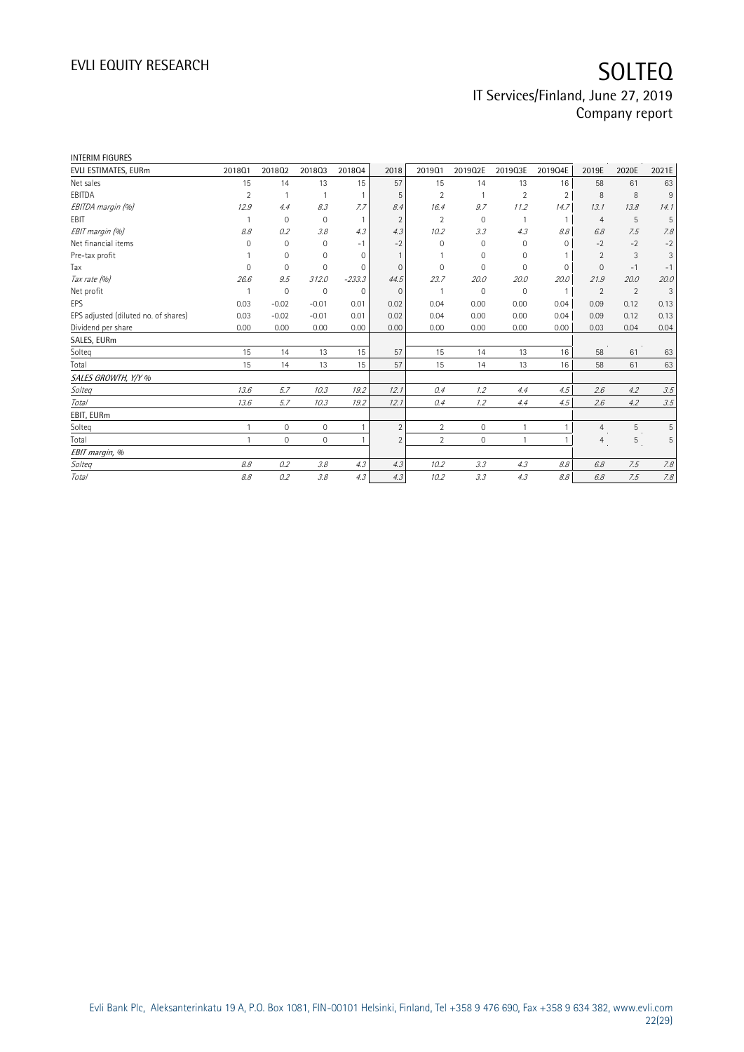| INTERIM FIGURES                      |              |              |              |             |                |                |             |                |               |                |       |       |
|--------------------------------------|--------------|--------------|--------------|-------------|----------------|----------------|-------------|----------------|---------------|----------------|-------|-------|
| EVLI ESTIMATES, EURm                 | 2018Q1       | 201802       | 201803       | 201804      | 2018           | 2019Q1         | 2019Q2E     | 2019Q3E        | 2019Q4E       | 2019E          | 2020E | 2021E |
| Net sales                            | 15           | 14           | 13           | 15          | 57             | 15             | 14          | 13             | 16            | 58             | 61    | 63    |
| EBITDA                               | 2            |              |              |             | .5             | 2              |             | $\overline{2}$ | $\mathcal{P}$ | 8              | 8     | 9     |
| EBITDA margin (%)                    | 12.9         | 4.4          | 8.3          | 7.7         | 8.4            | 16.4           | 9.7         | 11.2           | 14.7          | 13.1           | 13.8  | 14.1  |
| EBIT                                 |              | $\mathbf 0$  | $\mathbf{0}$ |             | $\overline{2}$ | 2              | 0           |                |               | $\overline{4}$ | 5     | 5     |
| EBIT margin (%)                      | 8.8          | 0.2          | 3.8          | 4.3         | 4.3            | 10.2           | 3.3         | 4.3            | 8.8           | 6.8            | 7.5   | 7.8   |
| Net financial items                  | 0            | $\mathbf{0}$ | $\mathbf{0}$ | $-1$        | $-2$           | $\Omega$       | 0           | 0              | $\Omega$      | $-2$           | $-2$  | $-2$  |
| Pre-tax profit                       |              | $\mathbf 0$  | $\mathbf 0$  | $\Omega$    |                |                | $\Omega$    | $\Omega$       |               | $\overline{2}$ | 3     | 3     |
| Tax                                  | O            | $\Omega$     | $\mathbf 0$  | $\Omega$    | $\Omega$       | $\Omega$       | $\Omega$    | $\Omega$       | $\Omega$      | $\Omega$       | $-1$  | $-1$  |
| Tax rate (%)                         | 26.6         | 9.5          | 312.0        | $-233.3$    | 44.5           | 23.7           | 20.0        | 20.0           | 20.0          | 21.9           | 20.0  | 20.0  |
| Net profit                           |              | $\mathbf 0$  | $\mathbf 0$  | $\mathbf 0$ | $\mathbf{0}$   |                | 0           | $\mathbf 0$    |               | $\overline{2}$ | 2     | 3     |
| EPS                                  | 0.03         | $-0.02$      | $-0.01$      | 0.01        | 0.02           | 0.04           | 0.00        | 0.00           | 0.04          | 0.09           | 0.12  | 0.13  |
| EPS adjusted (diluted no. of shares) | 0.03         | $-0.02$      | $-0.01$      | 0.01        | 0.02           | 0.04           | 0.00        | 0.00           | 0.04          | 0.09           | 0.12  | 0.13  |
| Dividend per share                   | 0.00         | 0.00         | 0.00         | 0.00        | 0.00           | 0.00           | 0.00        | 0.00           | 0.00          | 0.03           | 0.04  | 0.04  |
| SALES, EURm                          |              |              |              |             |                |                |             |                |               |                |       |       |
| Solteg                               | 15           | 14           | 13           | 15          | 57             | 15             | 14          | 13             | 16            | 58             | 61    | 63    |
| Total                                | 15           | 14           | 13           | 15          | 57             | 15             | 14          | 13             | 16            | 58             | 61    | 63    |
| SALES GROWTH, Y/Y %                  |              |              |              |             |                |                |             |                |               |                |       |       |
| Solteg                               | 13.6         | 5.7          | 10.3         | 19.2        | 12.1           | 0.4            | 1.2         | 4.4            | 4.5           | 2.6            | 4.2   | 3.5   |
| Total                                | 13.6         | 5.7          | 10.3         | 19.2        | 12.1           | 0.4            | 1.2         | 4.4            | 4.5           | 2.6            | 4.2   | 3.5   |
| EBIT, EURm                           |              |              |              |             |                |                |             |                |               |                |       |       |
| Solteg                               | 1            | $\mathbf 0$  | $\mathbf 0$  |             | $\overline{2}$ | $\overline{2}$ | $\mathbf 0$ |                |               | $\overline{4}$ | 5     | 5     |
| Total                                | $\mathbf{1}$ | $\Omega$     | $\mathbf 0$  |             | $\overline{2}$ | $\overline{2}$ | $\mathbf 0$ |                |               | $\overline{4}$ | 5     | 5     |
| EBIT margin, %                       |              |              |              |             |                |                |             |                |               |                |       |       |
| Solteg                               | 8.8          | 0.2          | 3.8          | 4.3         | 4.3            | 10.2           | 3.3         | 4.3            | 8.8           | 6.8            | 7.5   | 7.8   |
| Total                                | 8.8          | 0.2          | 3.8          | 4.3         | 4.3            | 10.2           | 3.3         | 4.3            | 8.8           | 6.8            | 7.5   | 7.8   |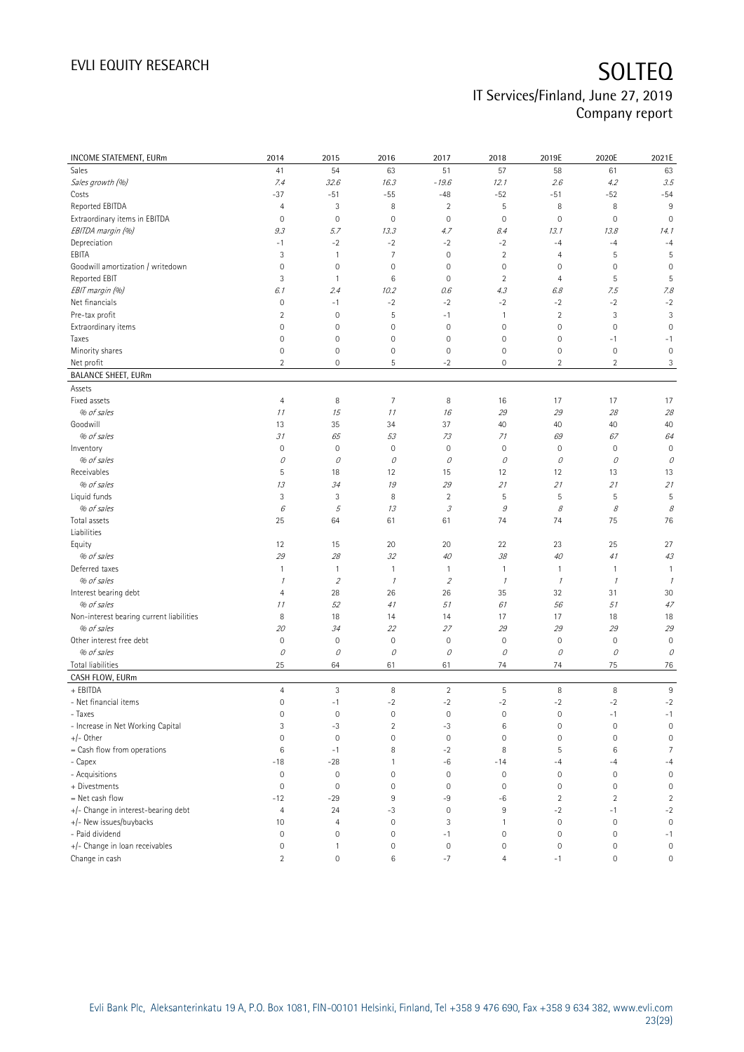| <b>INCOME STATEMENT, EURm</b>            | 2014                    | 2015                | 2016                | 2017                                                     | 2018           | 2019E               | 2020E          | 2021E               |
|------------------------------------------|-------------------------|---------------------|---------------------|----------------------------------------------------------|----------------|---------------------|----------------|---------------------|
| Sales                                    | 41                      | 54                  | 63                  | 51                                                       | 57             | 58                  | 61             | 63                  |
| Sales growth (%)                         | 7.4                     | 32.6                | 16.3                | $-19.6$                                                  | 12.1           | 2.6                 | 4.2            | 3.5                 |
| Costs                                    | $-37$                   | $-51$               | $-55$               | $-48$                                                    | $-52$          | $-51$               | $-52$          | $-54$               |
| Reported EBITDA                          | $\overline{4}$          | 3                   | 8                   | $\overline{2}$                                           | $\mathsf S$    | 8                   | 8              | 9                   |
| Extraordinary items in EBITDA            | $\mathbf 0$             | $\mathbf 0$         | $\mathbf 0$         | $\mathbf 0$                                              | $\mathbf 0$    | $\mathbf 0$         | $\mathbf 0$    | $\mathbf 0$         |
| EBITDA margin (%)                        | 9.3                     | 5.7                 | 13.3                | 4.7                                                      | 8.4            | 13.1                | 13.8           | 14.1                |
| Depreciation                             | $-1$                    | $-2$                | $-2$                | $-2$                                                     | $-2$           | $-4$                | $-4$           | $-4$                |
| EBITA                                    | 3                       | $\mathbf{1}$        | $\overline{7}$      | $\mathbf 0$                                              | $\overline{2}$ | 4                   | 5              | 5                   |
| Goodwill amortization / writedown        | $\mathbf 0$             | $\mathbf 0$         | $\mathbf 0$         | $\mathbf 0$                                              | $\mathbf 0$    | $\mathsf{O}\xspace$ | 0              | $\mathbf 0$         |
| Reported EBIT                            | 3                       | $\mathbf{1}$        | 6                   | $\mathbf 0$                                              | $\overline{2}$ | 4                   | 5              | 5                   |
| EBIT margin (%)                          | 6.1                     | 2.4                 | 10.2                | 0.6                                                      | 4.3            | 6.8                 | 7.5            | 7.8                 |
| Net financials                           | $\mathsf{O}\xspace$     | $-1$                | $-2$                | $-2$                                                     | $-2$           | $-2$                | $-2$           | $-2$                |
| Pre-tax profit                           | $\overline{c}$          | $\mathbf 0$         | 5                   | $-1$                                                     | $\mathbf{1}$   | $\sqrt{2}$          | 3              | 3                   |
| Extraordinary items                      | $\mathbf 0$             | $\mathbf 0$         | $\mathsf{O}\xspace$ | $\mathbf 0$                                              | $\mathbf 0$    | $\mathbf 0$         | 0              | $\mathbf 0$         |
| Taxes                                    | $\mathsf{O}\xspace$     | $\mathbf 0$         | $\mathsf{O}\xspace$ | $\mathbf 0$                                              | $\mathbf 0$    | $\mathbb O$         | $-1$           | $-1$                |
| Minority shares                          | $\mathsf{O}\xspace$     | $\mathbf 0$         | $\mathbf 0$         | $\mathbf 0$                                              | $\mathbf 0$    | $\mathbb O$         | $\mathbf 0$    | $\mathbf 0$         |
| Net profit                               | $\overline{2}$          | $\mathbf 0$         | 5                   | $-2$                                                     | $\mathbf 0$    | $\overline{2}$      | $\overline{2}$ | 3                   |
| <b>BALANCE SHEET, EURm</b>               |                         |                     |                     |                                                          |                |                     |                |                     |
| Assets                                   |                         |                     |                     |                                                          |                |                     |                |                     |
| Fixed assets                             | $\overline{4}$          | 8                   | $\overline{7}$      | 8                                                        | 16             | 17                  | 17             | 17                  |
| % of sales                               | 11                      | 15                  | 11                  | 16                                                       | 29             | 29                  | 28             | 28                  |
| Goodwill                                 | 13                      | 35                  | 34                  | 37                                                       | 40             | 40                  | 40             | 40                  |
| % of sales                               | 31                      | 65                  | 53                  | 73                                                       | 71             | 69                  | 67             | 64                  |
| Inventory                                | $\mathsf{O}\xspace$     | $\mathbb O$         | $\mathbf 0$         | 0                                                        | $\mathbf 0$    | $\mathsf{O}\xspace$ | $\mathbb O$    | $\mathbf 0$         |
| % of sales                               | 0                       | 0                   | 0                   | 0                                                        | 0              | 0                   | 0              | 0                   |
| Receivables                              | 5                       | 18                  | 12                  | 15                                                       | 12             | 12                  | 13             | 13                  |
| % of sales                               | 13                      | 34                  | 19                  | 29                                                       | 21             | 21                  | 21             | 21                  |
| Liquid funds                             | 3                       | 3                   | 8                   | $\overline{2}$                                           | 5              | 5                   | 5              | 5                   |
| % of sales                               | 6                       | 5                   | 13                  | $\mathcal{J}% _{G}(\theta)\equiv\mathcal{J}_{G}(\theta)$ | 9              | 8                   | 8              | 8                   |
| Total assets                             | 25                      | 64                  | 61                  | 61                                                       | 74             | 74                  | 75             | 76                  |
| Liabilities                              |                         |                     |                     |                                                          |                |                     |                |                     |
| Equity                                   | 12                      | 15                  | 20                  | 20                                                       | 22             | 23                  | 25             | 27                  |
| % of sales                               | 29                      | 28                  | 32                  | 40                                                       | 38             | 40                  | 41             | 43                  |
| Deferred taxes                           | $\mathbf{1}$            | $\mathbf{1}$        | $\overline{1}$      | 1                                                        | $\overline{1}$ | $\mathbf{1}$        | 1              | $\mathbf{1}$        |
| % of sales                               | $\mathcal I$            | $\overline{2}$      | $\mathcal I$        | $\overline{2}$                                           | $\mathcal{I}$  | $\mathcal I$        | $\mathcal{I}$  | $\mathcal I$        |
| Interest bearing debt                    | 4                       | 28                  | 26                  | 26                                                       | 35             | 32                  | 31             | 30                  |
| % of sales                               | 11                      | 52                  | 41                  | 51                                                       | 61             | 56                  | 51             | 47                  |
| Non-interest bearing current liabilities | 8                       | 18                  | 14                  | 14                                                       | 17             | 17                  | 18             | 18                  |
| % of sales                               | 20                      | 34                  | 22                  | 27                                                       | 29             | 29                  | 29             | 29                  |
| Other interest free debt                 | $\mathsf{O}\xspace$     | $\mathbf 0$         | $\mathbf 0$         | $\mathbf 0$                                              | $\mathbf 0$    | $\mathbf 0$         | $\mathbf 0$    | $\mathbf 0$         |
| % of sales                               | 0                       | $\mathcal O$        | 0                   | 0                                                        | 0              | 0                   | 0              | 0                   |
| Total liabilities                        | 25                      | 64                  | 61                  | 61                                                       | 74             | 74                  | 75             | 76                  |
| CASH FLOW, EURm                          |                         |                     |                     |                                                          |                |                     |                |                     |
| + EBITDA                                 | $\overline{4}$          | $\mathsf 3$         | 8                   | $\overline{2}$                                           | $\mathsf S$    | $\, 8$              | 8              | $\,9$               |
| - Net financial items                    | $\mathbb O$             | $-1$                | $-2$                | $-2$                                                     | $-2$           | $-2$                | $-2$           | $-2$                |
| - Taxes                                  | 0                       | $\mathsf{O}\xspace$ | $\mathbb O$         | $\mathbb O$                                              | $\mathbf 0$    | $\mathsf{O}\xspace$ | $-1$           | $-1$                |
| - Increase in Net Working Capital        | 3                       | $-3$                | $\overline{c}$      | $-3$                                                     | $\,6$          | $\mathbf 0$         | $\mathbf 0$    | $\mathbf 0$         |
| $+/-$ Other                              | $\mathbf 0$             | $\mathbf 0$         | $\mathsf{O}\xspace$ | $\mathsf{O}\xspace$                                      | $\mathbf 0$    | $\mathsf{O}\xspace$ | 0              | $\circ$             |
| = Cash flow from operations              | $\,6$                   | $-1$                | 8                   | $-2$                                                     | 8              | 5                   | 6              | $\overline{7}$      |
| - Capex                                  | $-18$                   | $-28$               | 1                   | $-6$                                                     | $-14$          | $-4$                | $-4$           | $-4$                |
| - Acquisitions                           | $\mathsf{O}\xspace$     | $\mathbb O$         | $\mathsf{O}\xspace$ | $\mathbf 0$                                              | $\mathbf 0$    | $\mathbb O$         | $\mathbf 0$    | $\mathbf 0$         |
| + Divestments                            | $\mathbf 0$             | $\mathbf 0$         | $\mathbf 0$         | $\mathbf 0$                                              | $\mathbf 0$    | $\mathbb O$         | 0              | $\mathbf 0$         |
| = Net cash flow                          | $-12$                   | $-29$               | 9                   | -9                                                       | -6             | $\sqrt{2}$          | $\overline{c}$ | $\sqrt{2}$          |
| +/- Change in interest-bearing debt      | $\overline{4}$          | 24                  | $-3$                | $\mathbf 0$                                              | $9\,$          | $-2$                | $-1$           | $-2$                |
| +/- New issues/buybacks                  | 10                      | $\overline{4}$      | $\mathbf 0$         | 3                                                        | $\mathbf{1}$   | $\mathsf{O}\xspace$ | $\mathbf 0$    | $\mathbf 0$         |
| - Paid dividend                          | 0                       | $\mathbf 0$         | $\bf 0$             | $-1$                                                     | $\mathbf 0$    | $\mathbb O$         | $\mathbf 0$    | $-1$                |
| +/- Change in loan receivables           | 0                       | $\mathbf{1}$        | 0                   | $\mathbf 0$                                              | $\mathbf 0$    | $\mathsf{O}\xspace$ | 0              | $\mathbb O$         |
| Change in cash                           | $\overline{\mathbf{c}}$ | $\mathbf 0$         | $\,6$               | $-7$                                                     | $\overline{4}$ | $-1$                | 0              | $\mathsf{O}\xspace$ |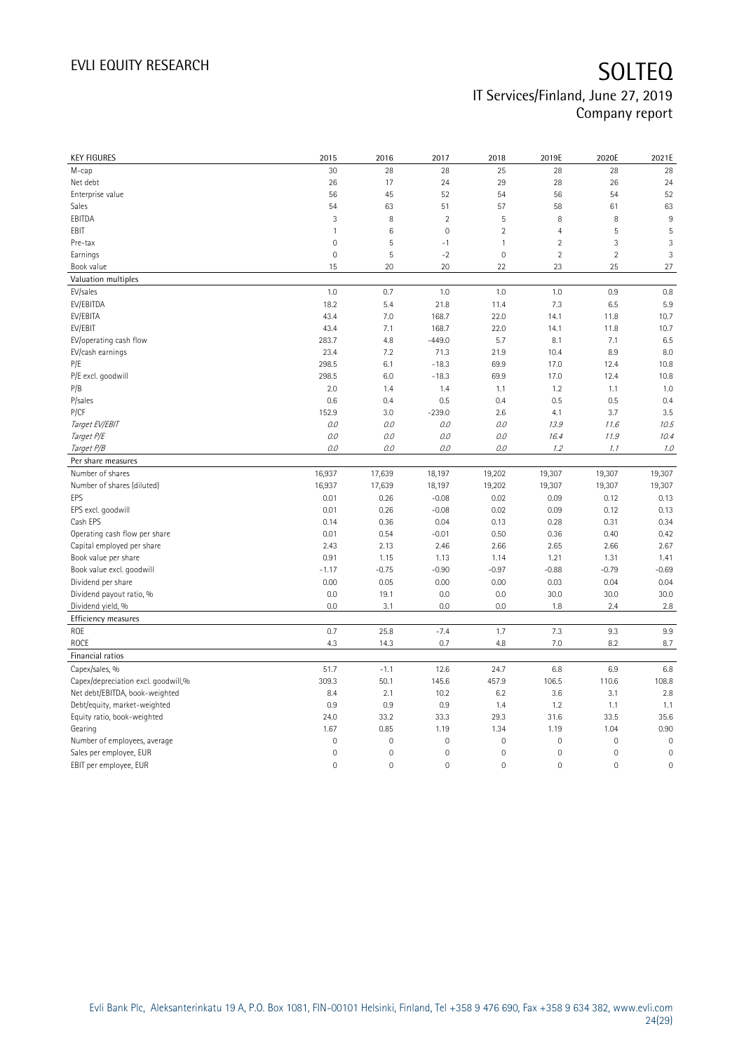| <b>KEY FIGURES</b>                  | 2015         | 2016                | 2017                | 2018                | 2019E               | 2020E               | 2021E       |
|-------------------------------------|--------------|---------------------|---------------------|---------------------|---------------------|---------------------|-------------|
| M-cap                               | 30           | 28                  | 28                  | 25                  | 28                  | 28                  | 28          |
| Net debt                            | 26           | 17                  | 24                  | 29                  | 28                  | 26                  | 24          |
| Enterprise value                    | 56           | 45                  | 52                  | 54                  | 56                  | 54                  | 52          |
| Sales                               | 54           | 63                  | 51                  | 57                  | 58                  | 61                  | 63          |
| EBITDA                              | 3            | 8                   | $\overline{2}$      | 5                   | 8                   | 8                   | 9           |
| EBIT                                | $\mathbf{1}$ | $\,6$               | $\mathsf{O}\xspace$ | $\overline{2}$      | $\overline{4}$      | 5                   | 5           |
| Pre-tax                             | $\mathbf 0$  | 5                   | $-1$                | $\mathbf{1}$        | $\overline{2}$      | 3                   | 3           |
| Earnings                            | $\mathbf 0$  | 5                   | $-2$                | $\mathbf 0$         | $\overline{2}$      | $\overline{2}$      | 3           |
| Book value                          | 15           | 20                  | 20                  | 22                  | 23                  | 25                  | 27          |
| Valuation multiples                 |              |                     |                     |                     |                     |                     |             |
| EV/sales                            | 1.0          | 0.7                 | 1.0                 | 1.0                 | 1.0                 | 0.9                 | 0.8         |
| EV/EBITDA                           | 18.2         | 5.4                 | 21.8                | 11.4                | 7.3                 | 6.5                 | 5.9         |
| EV/EBITA                            | 43.4         | 7.0                 | 168.7               | 22.0                | 14.1                | 11.8                | 10.7        |
| EV/EBIT                             | 43.4         | 7.1                 | 168.7               | 22.0                | 14.1                | 11.8                | 10.7        |
| EV/operating cash flow              | 283.7        | 4.8                 | $-449.0$            | 5.7                 | 8.1                 | 7.1                 | 6.5         |
| EV/cash earnings                    | 23.4         | 7.2                 | 71.3                | 21.9                | 10.4                | 8.9                 | 8.0         |
| P/E                                 | 298.5        | 6.1                 | $-18.3$             | 69.9                | 17.0                | 12.4                | 10.8        |
| P/E excl. goodwill                  | 298.5        | 6.0                 | $-18.3$             | 69.9                | 17.0                | 12.4                | 10.8        |
| P/B                                 | 2.0          | 1.4                 | 1.4                 | 1.1                 | 1.2                 | 1.1                 | 1.0         |
| P/sales                             | 0.6          | 0.4                 | 0.5                 | 0.4                 | 0.5                 | 0.5                 | 0.4         |
| P/CF                                | 152.9        | 3.0                 | $-239.0$            | 2.6                 | 4.1                 | 3.7                 | 3.5         |
| Target EV/EBIT                      | 0.0          | 0.0                 | 0.0                 | 0.0                 | 13.9                | 11.6                | 10.5        |
| Target P/E                          | 0.0          | 0.0                 | 0.0                 | 0.0                 | 16.4                | 11.9                | 10.4        |
| Target P/B                          | 0.0          | 0.0                 | 0.0                 | $O.O$               | 1.2                 | 1.1                 | 1.0         |
| Per share measures                  |              |                     |                     |                     |                     |                     |             |
| Number of shares                    | 16,937       | 17,639              | 18,197              | 19,202              | 19,307              | 19,307              | 19,307      |
| Number of shares (diluted)          | 16,937       | 17,639              | 18,197              | 19,202              | 19,307              | 19,307              | 19,307      |
| EPS                                 | 0.01         | 0.26                | $-0.08$             | 0.02                | 0.09                | 0.12                | 0.13        |
| EPS excl. goodwill                  | 0.01         | 0.26                | $-0.08$             | 0.02                | 0.09                | 0.12                | 0.13        |
| Cash EPS                            | 0.14         | 0.36                | 0.04                | 0.13                | 0.28                | 0.31                | 0.34        |
| Operating cash flow per share       | 0.01         | 0.54                | $-0.01$             | 0.50                | 0.36                | 0.40                | 0.42        |
| Capital employed per share          | 2.43         | 2.13                | 2.46                | 2.66                | 2.65                | 2.66                | 2.67        |
| Book value per share                | 0.91         | 1.15                | 1.13                | 1.14                | 1.21                | 1.31                | 1.41        |
| Book value excl. goodwill           | $-1.17$      | $-0.75$             | $-0.90$             | $-0.97$             | $-0.88$             | $-0.79$             | $-0.69$     |
| Dividend per share                  | 0.00         | 0.05                | 0.00                | 0.00                | 0.03                | 0.04                | 0.04        |
| Dividend payout ratio, %            | 0.0          | 19.1                | 0.0                 | 0.0                 | 30.0                | 30.0                | 30.0        |
| Dividend yield, %                   | 0.0          | 3.1                 | 0.0                 | 0.0                 | 1.8                 | 2.4                 | 2.8         |
| <b>Efficiency measures</b>          |              |                     |                     |                     |                     |                     |             |
| ROE                                 | 0.7          | 25.8                | $-7.4$              | 1.7                 | 7.3                 | 9.3                 | 9.9         |
| ROCE                                | 4.3          | 14.3                | 0.7                 | 4.8                 | 7.0                 | 8.2                 | 8.7         |
| Financial ratios                    |              |                     |                     |                     |                     |                     |             |
| Capex/sales, %                      | 51.7         | $-1.1$              | 12.6                | 24.7                | 6.8                 | 6.9                 | 6.8         |
| Capex/depreciation excl. goodwill,% | 309.3        | 50.1                | 145.6               | 457.9               | 106.5               | 110.6               | 108.8       |
| Net debt/EBITDA, book-weighted      | 8.4          | 2.1                 | 10.2                | 6.2                 | 3.6                 | 3.1                 | 2.8         |
| Debt/equity, market-weighted        | 0.9          | 0.9                 | 0.9                 | 1.4                 | 1.2                 | 1.1                 | 1.1         |
| Equity ratio, book-weighted         | 24.0         | 33.2                | 33.3                | 29.3                | 31.6                | 33.5                | 35.6        |
| Gearing                             | 1.67         | 0.85                | 1.19                | 1.34                | 1.19                | 1.04                | 0.90        |
| Number of employees, average        | $\mathbf 0$  | $\mathsf{O}\xspace$ | $\mathbf 0$         | $\mathbf 0$         | 0                   | $\mathbf 0$         | $\mathbf 0$ |
| Sales per employee, EUR             | $\mathbf 0$  | $\mathsf{O}\xspace$ | $\mathbf 0$         | $\mathbf 0$         | 0                   | 0                   | $\mathbf 0$ |
| EBIT per employee, EUR              | $\mathbf 0$  | $\mathsf{O}\xspace$ | $\mathbf 0$         | $\mathsf{O}\xspace$ | $\mathsf{O}\xspace$ | $\mathsf{O}\xspace$ | $\mathbf 0$ |
|                                     |              |                     |                     |                     |                     |                     |             |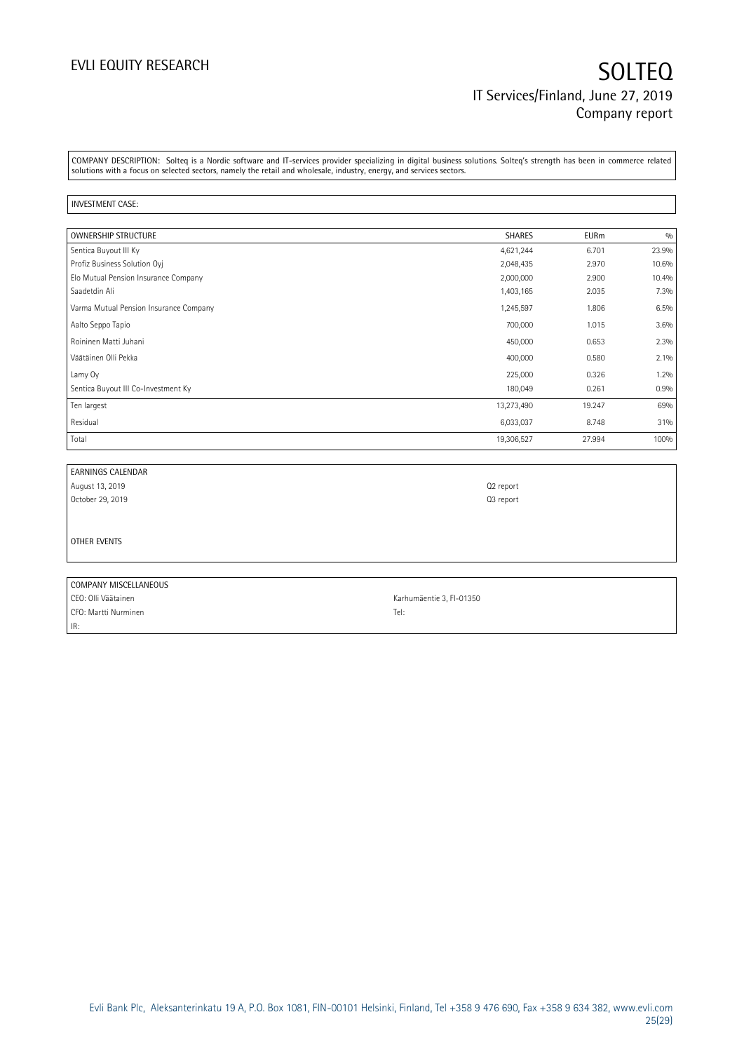COMPANY DESCRIPTION: Solteq is a Nordic software and IT-services provider specializing in digital business solutions. Solteq's strength has been in commerce related solutions with a focus on selected sectors, namely the retail and wholesale, industry, energy, and services sectors.

#### INVESTMENT CASE:

IR:

| <b>OWNERSHIP STRUCTURE</b>             | <b>SHARES</b> | <b>EURm</b> | 0/0   |
|----------------------------------------|---------------|-------------|-------|
| Sentica Buyout III Ky                  | 4,621,244     | 6.701       | 23.9% |
| Profiz Business Solution Oyi           | 2,048,435     | 2.970       | 10.6% |
| Elo Mutual Pension Insurance Company   | 2,000,000     | 2.900       | 10.4% |
| Saadetdin Ali                          | 1,403,165     | 2.035       | 7.3%  |
| Varma Mutual Pension Insurance Company | 1,245,597     | 1.806       | 6.5%  |
| Aalto Seppo Tapio                      | 700,000       | 1.015       | 3.6%  |
| Roininen Matti Juhani                  | 450,000       | 0.653       | 2.3%  |
| Väätäinen Olli Pekka                   | 400,000       | 0.580       | 2.1%  |
| Lamy Oy                                | 225,000       | 0.326       | 1.2%  |
| Sentica Buyout III Co-Investment Ky    | 180,049       | 0.261       | 0.9%  |
| Ten largest                            | 13,273,490    | 19.247      | 69%   |
| Residual                               | 6,033,037     | 8.748       | 31%   |
| Total                                  | 19,306,527    | 27.994      | 100%  |

| <b>EARNINGS CALENDAR</b> |                          |
|--------------------------|--------------------------|
| August 13, 2019          | Q2 report                |
| October 29, 2019         | Q3 report                |
|                          |                          |
|                          |                          |
| OTHER EVENTS             |                          |
|                          |                          |
|                          |                          |
| COMPANY MISCELLANEOUS    |                          |
| CEO: Olli Väätainen      | Karhumäentie 3, FI-01350 |
| CFO: Martti Nurminen     | Tel:                     |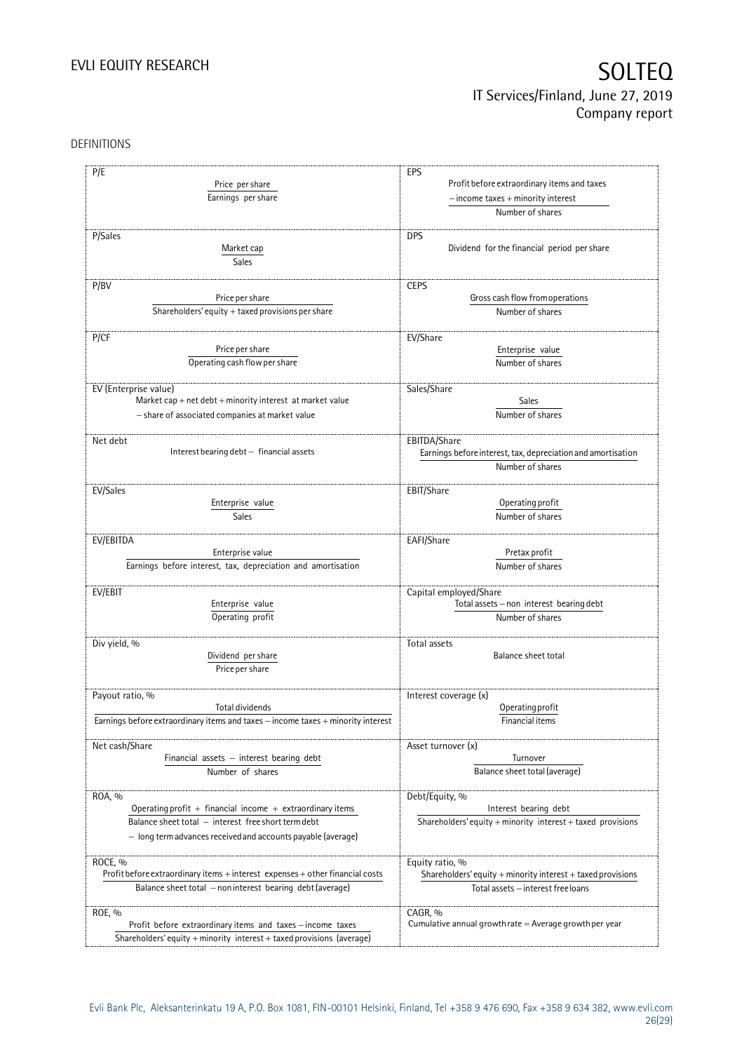## DEFINITIONS

| P/E                                                                              | EPS                                                             |  |  |  |
|----------------------------------------------------------------------------------|-----------------------------------------------------------------|--|--|--|
| Price per share                                                                  | Profit before extraordinary items and taxes                     |  |  |  |
|                                                                                  | $-$ income taxes $+$ minority interest                          |  |  |  |
| Earnings per share                                                               |                                                                 |  |  |  |
|                                                                                  | Number of shares                                                |  |  |  |
|                                                                                  |                                                                 |  |  |  |
| P/Sales                                                                          | <b>DPS</b>                                                      |  |  |  |
| Market cap                                                                       | Dividend for the financial period per share                     |  |  |  |
| Sales                                                                            |                                                                 |  |  |  |
|                                                                                  |                                                                 |  |  |  |
| P/BV                                                                             | <b>CEPS</b>                                                     |  |  |  |
| Price per share                                                                  | Gross cash flow from operations                                 |  |  |  |
| Shareholders' equity $+$ taxed provisions per share                              | Number of shares                                                |  |  |  |
|                                                                                  |                                                                 |  |  |  |
| P/CF                                                                             | EV/Share                                                        |  |  |  |
| Price per share                                                                  | Enterprise value                                                |  |  |  |
| Operating cash flow per share                                                    | Number of shares                                                |  |  |  |
|                                                                                  |                                                                 |  |  |  |
| EV (Enterprise value)                                                            | Sales/Share                                                     |  |  |  |
| Market cap + net $debt$ + minority interest at market value                      | Sales                                                           |  |  |  |
| - share of associated companies at market value                                  | Number of shares                                                |  |  |  |
|                                                                                  |                                                                 |  |  |  |
| Net debt                                                                         | EBITDA/Share                                                    |  |  |  |
| Interest bearing debt - financial assets                                         | Earnings before interest, tax, depreciation and amortisation    |  |  |  |
|                                                                                  | Number of shares                                                |  |  |  |
| EV/Sales                                                                         | EBIT/Share                                                      |  |  |  |
| Enterprise value                                                                 | Operating profit                                                |  |  |  |
|                                                                                  | Number of shares                                                |  |  |  |
| Sales                                                                            |                                                                 |  |  |  |
| EV/EBITDA                                                                        | EAFI/Share                                                      |  |  |  |
| Enterprise value                                                                 | Pretax profit                                                   |  |  |  |
| Earnings before interest, tax, depreciation and amortisation                     | Number of shares                                                |  |  |  |
|                                                                                  |                                                                 |  |  |  |
| EV/EBIT                                                                          | Capital employed/Share                                          |  |  |  |
| Enterprise value                                                                 | Total assets - non interest bearing debt                        |  |  |  |
| Operating profit                                                                 | Number of shares                                                |  |  |  |
|                                                                                  |                                                                 |  |  |  |
| Div yield, %                                                                     | Total assets                                                    |  |  |  |
| Dividend per share                                                               | Balance sheet total                                             |  |  |  |
| Price per share                                                                  |                                                                 |  |  |  |
|                                                                                  |                                                                 |  |  |  |
| Payout ratio, %                                                                  | Interest coverage (x)                                           |  |  |  |
| Total dividends                                                                  | Operating profit                                                |  |  |  |
| Earnings before extraordinary items and taxes - income taxes + minority interest | Financial items                                                 |  |  |  |
|                                                                                  |                                                                 |  |  |  |
| Net cash/Share                                                                   | Asset turnover (x)                                              |  |  |  |
| Financial assets - interest bearing debt                                         | Turnover                                                        |  |  |  |
| Number of shares                                                                 | Balance sheet total (average)                                   |  |  |  |
|                                                                                  |                                                                 |  |  |  |
| ROA, %                                                                           | Debt/Equity, %                                                  |  |  |  |
| Operating profit $+$ financial income $+$ extraordinary items                    | Interest bearing debt                                           |  |  |  |
| Balance sheet total - interest free short term debt                              | Shareholders' equity + minority interest + taxed provisions     |  |  |  |
| - long term advances received and accounts payable (average)                     |                                                                 |  |  |  |
|                                                                                  |                                                                 |  |  |  |
| ROCE, %                                                                          | Equity ratio, %                                                 |  |  |  |
| Profit before extraordinary items + interest expenses + other financial costs    | Shareholders' equity $+$ minority interest $+$ taxed provisions |  |  |  |
| Balance sheet total - non interest bearing debt (average)                        | Total assets - interest free loans                              |  |  |  |
|                                                                                  |                                                                 |  |  |  |
| ROE, %                                                                           | CAGR, %                                                         |  |  |  |
| Profit before extraordinary items and taxes - income taxes                       | Cumulative annual growth rate $=$ Average growth per year       |  |  |  |
| Shareholders' equity + minority interest + taxed provisions (average)            |                                                                 |  |  |  |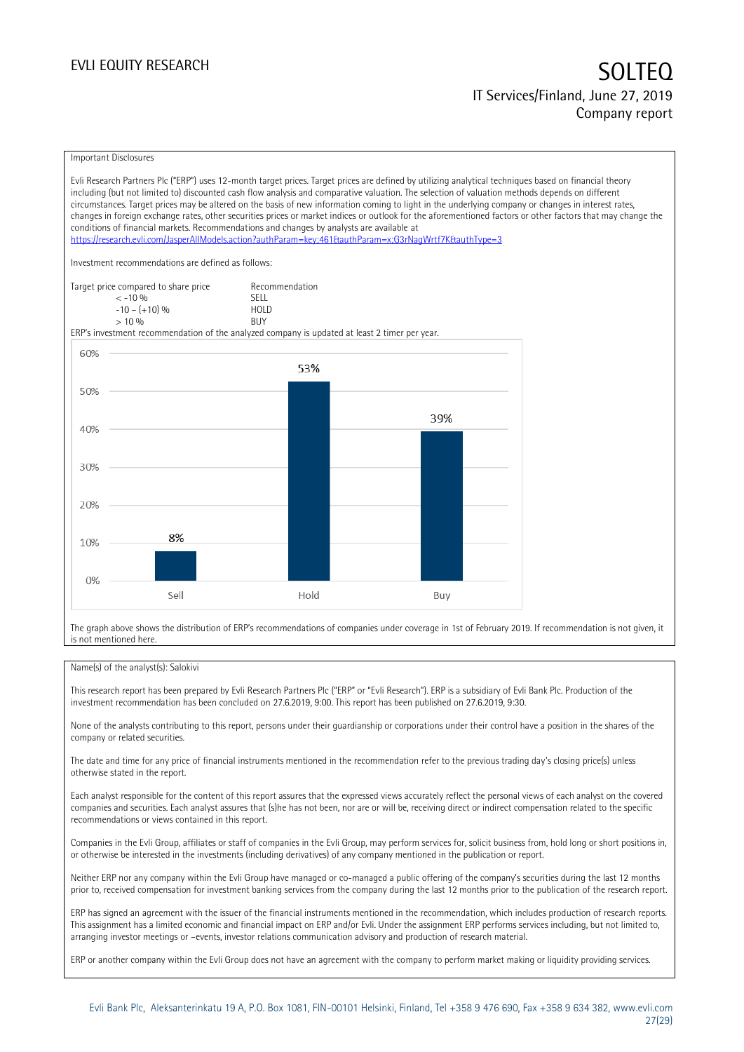#### Important Disclosures

Evli Research Partners Plc ("ERP") uses 12-month target prices. Target prices are defined by utilizing analytical techniques based on financial theory including (but not limited to) discounted cash flow analysis and comparative valuation. The selection of valuation methods depends on different circumstances. Target prices may be altered on the basis of new information coming to light in the underlying company or changes in interest rates, changes in foreign exchange rates, other securities prices or market indices or outlook for the aforementioned factors or other factors that may change the conditions of financial markets. Recommendations and changes by analysts are available at <https://research.evli.com/JasperAllModels.action?authParam=key;461&authParam=x;G3rNagWrtf7K&authType=3> Investment recommendations are defined as follows: Target price compared to share price Recommendation<br>  $\leq -10\%$  $\langle 5, 10, 10 \rangle$  SELL<br>  $\langle 10, 10, 10 \rangle$  SELL<br>  $\langle 10, 10, 10 \rangle$  $-10 - (+10) \%$  HOL<br>  $> 10 \%$  RIJY  $> 10\%$ ERP's investment recommendation of the analyzed company is updated at least 2 timer per year. 60% 53% 50% 39% 40% 30% 20% 8% 10%  $0%$ Sell Hold Buy

The graph above shows the distribution of ERP's recommendations of companies under coverage in 1st of February 2019. If recommendation is not given, it is not mentioned here.

### Name(s) of the analyst(s): Salokivi

This research report has been prepared by Evli Research Partners Plc ("ERP" or "Evli Research"). ERP is a subsidiary of Evli Bank Plc. Production of the investment recommendation has been concluded on 27.6.2019, 9:00. This report has been published on 27.6.2019, 9:30.

None of the analysts contributing to this report, persons under their guardianship or corporations under their control have a position in the shares of the company or related securities.

The date and time for any price of financial instruments mentioned in the recommendation refer to the previous trading day's closing price(s) unless otherwise stated in the report.

Each analyst responsible for the content of this report assures that the expressed views accurately reflect the personal views of each analyst on the covered companies and securities. Each analyst assures that (s)he has not been, nor are or will be, receiving direct or indirect compensation related to the specific recommendations or views contained in this report.

Companies in the Evli Group, affiliates or staff of companies in the Evli Group, may perform services for, solicit business from, hold long or short positions in, or otherwise be interested in the investments (including derivatives) of any company mentioned in the publication or report.

Neither ERP nor any company within the Evli Group have managed or co-managed a public offering of the company's securities during the last 12 months prior to, received compensation for investment banking services from the company during the last 12 months prior to the publication of the research report.

ERP has signed an agreement with the issuer of the financial instruments mentioned in the recommendation, which includes production of research reports. This assignment has a limited economic and financial impact on ERP and/or Evli. Under the assignment ERP performs services including, but not limited to, arranging investor meetings or –events, investor relations communication advisory and production of research material.

ERP or another company within the Evli Group does not have an agreement with the company to perform market making or liquidity providing services.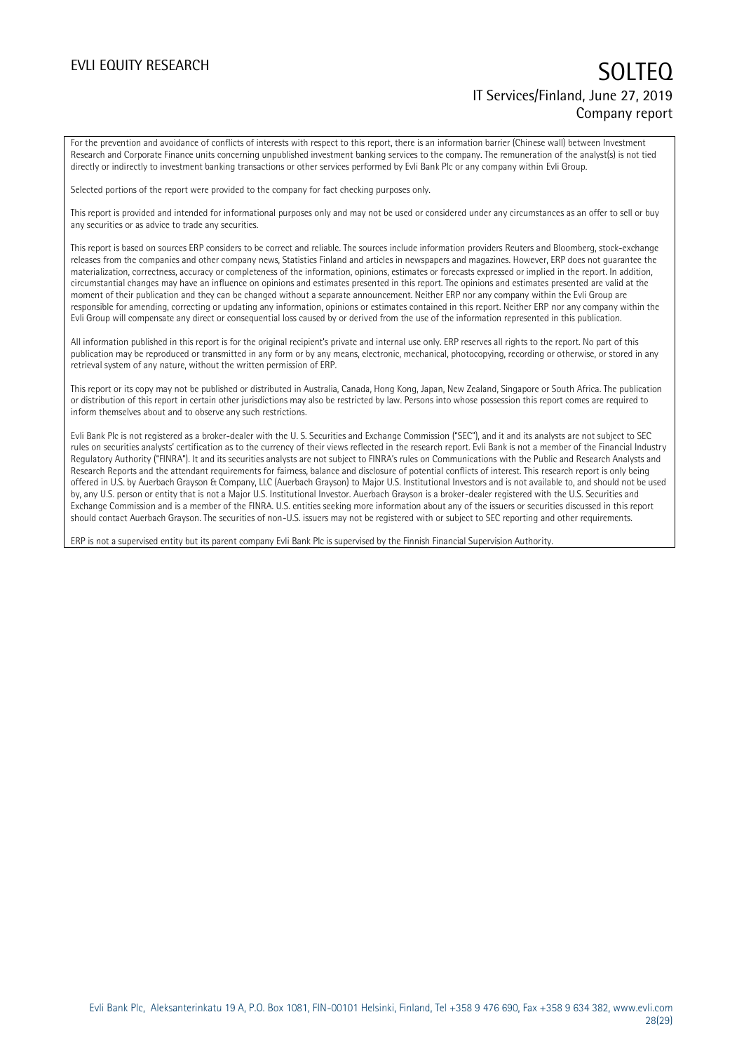For the prevention and avoidance of conflicts of interests with respect to this report, there is an information barrier (Chinese wall) between Investment Research and Corporate Finance units concerning unpublished investment banking services to the company. The remuneration of the analyst(s) is not tied directly or indirectly to investment banking transactions or other services performed by Evli Bank Plc or any company within Evli Group.

Selected portions of the report were provided to the company for fact checking purposes only.

This report is provided and intended for informational purposes only and may not be used or considered under any circumstances as an offer to sell or buy any securities or as advice to trade any securities.

This report is based on sources ERP considers to be correct and reliable. The sources include information providers Reuters and Bloomberg, stock-exchange releases from the companies and other company news, Statistics Finland and articles in newspapers and magazines. However, ERP does not guarantee the materialization, correctness, accuracy or completeness of the information, opinions, estimates or forecasts expressed or implied in the report. In addition, circumstantial changes may have an influence on opinions and estimates presented in this report. The opinions and estimates presented are valid at the moment of their publication and they can be changed without a separate announcement. Neither ERP nor any company within the Evli Group are responsible for amending, correcting or updating any information, opinions or estimates contained in this report. Neither ERP nor any company within the Evli Group will compensate any direct or consequential loss caused by or derived from the use of the information represented in this publication.

All information published in this report is for the original recipient's private and internal use only. ERP reserves all rights to the report. No part of this publication may be reproduced or transmitted in any form or by any means, electronic, mechanical, photocopying, recording or otherwise, or stored in any retrieval system of any nature, without the written permission of ERP.

This report or its copy may not be published or distributed in Australia, Canada, Hong Kong, Japan, New Zealand, Singapore or South Africa. The publication or distribution of this report in certain other jurisdictions may also be restricted by law. Persons into whose possession this report comes are required to inform themselves about and to observe any such restrictions.

Evli Bank Plc is not registered as a broker-dealer with the U. S. Securities and Exchange Commission ("SEC"), and it and its analysts are not subject to SEC rules on securities analysts' certification as to the currency of their views reflected in the research report. Evli Bank is not a member of the Financial Industry Regulatory Authority ("FINRA"). It and its securities analysts are not subject to FINRA's rules on Communications with the Public and Research Analysts and Research Reports and the attendant requirements for fairness, balance and disclosure of potential conflicts of interest. This research report is only being offered in U.S. by Auerbach Grayson & Company, LLC (Auerbach Grayson) to Major U.S. Institutional Investors and is not available to, and should not be used by, any U.S. person or entity that is not a Major U.S. Institutional Investor. Auerbach Grayson is a broker-dealer registered with the U.S. Securities and Exchange Commission and is a member of the FINRA. U.S. entities seeking more information about any of the issuers or securities discussed in this report should contact Auerbach Grayson. The securities of non-U.S. issuers may not be registered with or subject to SEC reporting and other requirements.

ERP is not a supervised entity but its parent company Evli Bank Plc is supervised by the Finnish Financial Supervision Authority.